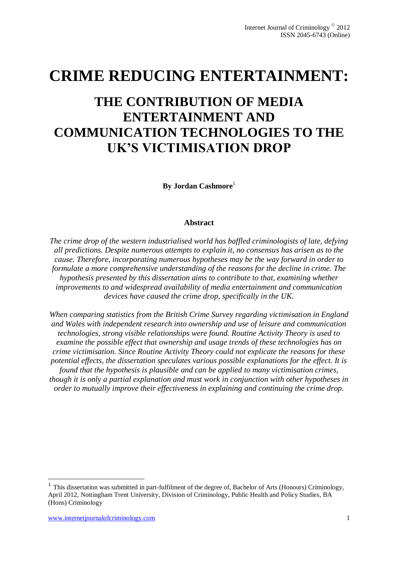# **CRIME REDUCING ENTERTAINMENT:**

# **THE CONTRIBUTION OF MEDIA ENTERTAINMENT AND COMMUNICATION TECHNOLOGIES TO THE UK'S VICTIMISATION DROP**

**By Jordan Cashmore**<sup>1</sup>

#### **Abstract**

*The crime drop of the western industrialised world has baffled criminologists of late, defying all predictions. Despite numerous attempts to explain it, no consensus has arisen as to the cause. Therefore, incorporating numerous hypotheses may be the way forward in order to formulate a more comprehensive understanding of the reasons for the decline in crime. The hypothesis presented by this dissertation aims to contribute to that, examining whether improvements to and widespread availability of media entertainment and communication devices have caused the crime drop, specifically in the UK.*

*When comparing statistics from the British Crime Survey regarding victimisation in England and Wales with independent research into ownership and use of leisure and communication technologies, strong visible relationships were found. Routine Activity Theory is used to examine the possible effect that ownership and usage trends of these technologies has on crime victimisation. Since Routine Activity Theory could not explicate the reasons for these potential effects, the dissertation speculates various possible explanations for the effect. It is found that the hypothesis is plausible and can be applied to many victimisation crimes, though it is only a partial explanation and must work in conjunction with other hypotheses in order to mutually improve their effectiveness in explaining and continuing the crime drop.*

1

<sup>&</sup>lt;sup>1</sup> This dissertation was submitted in part-fulfilment of the degree of, Bachelor of Arts (Honours) Criminology, April 2012, Nottingham Trent University, Division of Criminology, Public Health and Policy Studies, BA (Hons) Criminology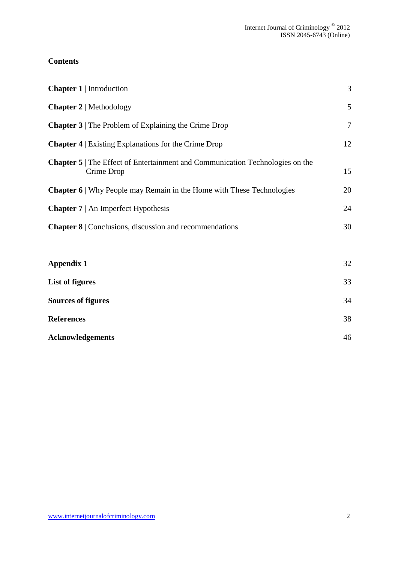# **Contents**

| <b>Chapter 1</b>   Introduction                                                                  | 3              |
|--------------------------------------------------------------------------------------------------|----------------|
| <b>Chapter 2</b>   Methodology                                                                   | 5              |
| <b>Chapter 3</b>   The Problem of Explaining the Crime Drop                                      | $\overline{7}$ |
| <b>Chapter 4</b>   Existing Explanations for the Crime Drop                                      | 12             |
| <b>Chapter 5</b> The Effect of Entertainment and Communication Technologies on the<br>Crime Drop | 15             |
| <b>Chapter 6</b>   Why People may Remain in the Home with These Technologies                     | 20             |
| <b>Chapter 7</b>   An Imperfect Hypothesis                                                       | 24             |
| <b>Chapter 8</b>   Conclusions, discussion and recommendations                                   | 30             |
| <b>Appendix 1</b>                                                                                | 32             |
| <b>List of figures</b>                                                                           | 33             |
| <b>Sources of figures</b>                                                                        | 34             |

| <b>Acknowledgements</b> | 46 |
|-------------------------|----|

**References** 38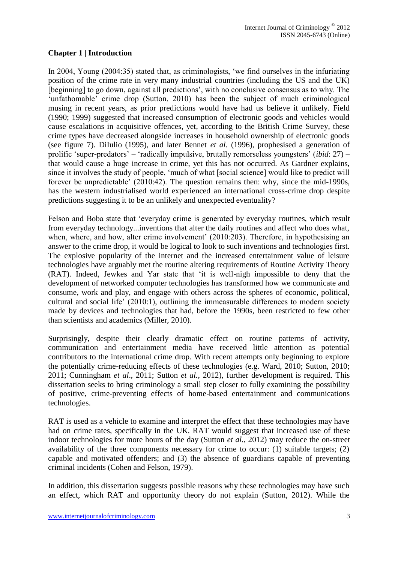## **Chapter 1 | Introduction**

In 2004, Young (2004:35) stated that, as criminologists, 'we find ourselves in the infuriating position of the crime rate in very many industrial countries (including the US and the UK) [beginning] to go down, against all predictions', with no conclusive consensus as to why. The 'unfathomable' crime drop (Sutton, 2010) has been the subject of much criminological musing in recent years, as prior predictions would have had us believe it unlikely. Field (1990; 1999) suggested that increased consumption of electronic goods and vehicles would cause escalations in acquisitive offences, yet, according to the British Crime Survey, these crime types have decreased alongside increases in household ownership of electronic goods (see figure 7). DiIulio (1995), and later Bennet *et al.* (1996), prophesised a generation of prolific 'super-predators' – 'radically impulsive, brutally remorseless youngsters' (*ibid*: 27) – that would cause a huge increase in crime, yet this has not occurred. As Gardner explains, since it involves the study of people, 'much of what [social science] would like to predict will forever be unpredictable' (2010:42). The question remains then: why, since the mid-1990s, has the western industrialised world experienced an international cross-crime drop despite predictions suggesting it to be an unlikely and unexpected eventuality?

Felson and Boba state that 'everyday crime is generated by everyday routines, which result from everyday technology...inventions that alter the daily routines and affect who does what, when, where, and how, alter crime involvement' (2010:203). Therefore, in hypothesising an answer to the crime drop, it would be logical to look to such inventions and technologies first. The explosive popularity of the internet and the increased entertainment value of leisure technologies have arguably met the routine altering requirements of Routine Activity Theory (RAT). Indeed, Jewkes and Yar state that 'it is well-nigh impossible to deny that the development of networked computer technologies has transformed how we communicate and consume, work and play, and engage with others across the spheres of economic, political, cultural and social life' (2010:1), outlining the immeasurable differences to modern society made by devices and technologies that had, before the 1990s, been restricted to few other than scientists and academics (Miller, 2010).

Surprisingly, despite their clearly dramatic effect on routine patterns of activity, communication and entertainment media have received little attention as potential contributors to the international crime drop. With recent attempts only beginning to explore the potentially crime-reducing effects of these technologies (e.g. Ward, 2010; Sutton, 2010; 2011; Cunningham *et al*., 2011; Sutton *et al.*, 2012), further development is required. This dissertation seeks to bring criminology a small step closer to fully examining the possibility of positive, crime-preventing effects of home-based entertainment and communications technologies.

RAT is used as a vehicle to examine and interpret the effect that these technologies may have had on crime rates, specifically in the UK. RAT would suggest that increased use of these indoor technologies for more hours of the day (Sutton *et al.*, 2012) may reduce the on-street availability of the three components necessary for crime to occur: (1) suitable targets; (2) capable and motivated offenders; and (3) the absence of guardians capable of preventing criminal incidents (Cohen and Felson, 1979).

In addition, this dissertation suggests possible reasons why these technologies may have such an effect, which RAT and opportunity theory do not explain (Sutton, 2012). While the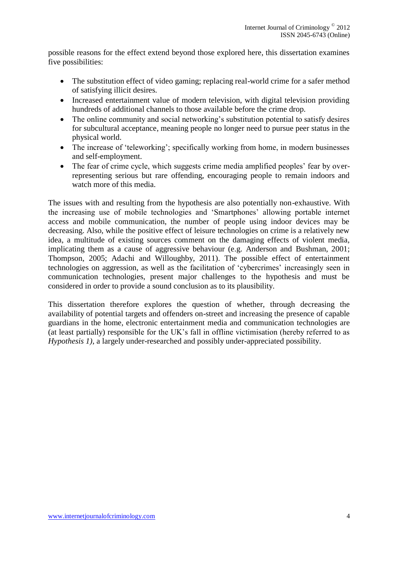possible reasons for the effect extend beyond those explored here, this dissertation examines five possibilities:

- The substitution effect of video gaming; replacing real-world crime for a safer method of satisfying illicit desires.
- Increased entertainment value of modern television, with digital television providing hundreds of additional channels to those available before the crime drop.
- The online community and social networking's substitution potential to satisfy desires for subcultural acceptance, meaning people no longer need to pursue peer status in the physical world.
- The increase of 'teleworking'; specifically working from home, in modern businesses and self-employment.
- The fear of crime cycle, which suggests crime media amplified peoples' fear by overrepresenting serious but rare offending, encouraging people to remain indoors and watch more of this media.

The issues with and resulting from the hypothesis are also potentially non-exhaustive. With the increasing use of mobile technologies and 'Smartphones' allowing portable internet access and mobile communication, the number of people using indoor devices may be decreasing. Also, while the positive effect of leisure technologies on crime is a relatively new idea, a multitude of existing sources comment on the damaging effects of violent media, implicating them as a cause of aggressive behaviour (e.g. Anderson and Bushman, 2001; Thompson, 2005; Adachi and Willoughby, 2011). The possible effect of entertainment technologies on aggression, as well as the facilitation of 'cybercrimes' increasingly seen in communication technologies, present major challenges to the hypothesis and must be considered in order to provide a sound conclusion as to its plausibility.

This dissertation therefore explores the question of whether, through decreasing the availability of potential targets and offenders on-street and increasing the presence of capable guardians in the home, electronic entertainment media and communication technologies are (at least partially) responsible for the UK's fall in offline victimisation (hereby referred to as *Hypothesis 1)*, a largely under-researched and possibly under-appreciated possibility.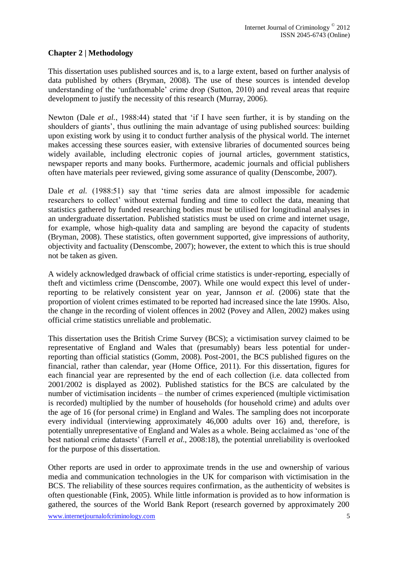## **Chapter 2 | Methodology**

This dissertation uses published sources and is, to a large extent, based on further analysis of data published by others (Bryman, 2008). The use of these sources is intended develop understanding of the 'unfathomable' crime drop (Sutton, 2010) and reveal areas that require development to justify the necessity of this research (Murray, 2006).

Newton (Dale *et al.*, 1988:44) stated that 'if I have seen further, it is by standing on the shoulders of giants', thus outlining the main advantage of using published sources: building upon existing work by using it to conduct further analysis of the physical world. The internet makes accessing these sources easier, with extensive libraries of documented sources being widely available, including electronic copies of journal articles, government statistics, newspaper reports and many books. Furthermore, academic journals and official publishers often have materials peer reviewed, giving some assurance of quality (Denscombe, 2007).

Dale *et al.* (1988:51) say that 'time series data are almost impossible for academic researchers to collect' without external funding and time to collect the data, meaning that statistics gathered by funded researching bodies must be utilised for longitudinal analyses in an undergraduate dissertation. Published statistics must be used on crime and internet usage, for example, whose high-quality data and sampling are beyond the capacity of students (Bryman, 2008). These statistics, often government supported, give impressions of authority, objectivity and factuality (Denscombe, 2007); however, the extent to which this is true should not be taken as given.

A widely acknowledged drawback of official crime statistics is under-reporting, especially of theft and victimless crime (Denscombe, 2007). While one would expect this level of underreporting to be relatively consistent year on year, Jannson *et al.* (2006) state that the proportion of violent crimes estimated to be reported had increased since the late 1990s. Also, the change in the recording of violent offences in 2002 (Povey and Allen, 2002) makes using official crime statistics unreliable and problematic.

This dissertation uses the British Crime Survey (BCS); a victimisation survey claimed to be representative of England and Wales that (presumably) bears less potential for underreporting than official statistics (Gomm, 2008). Post-2001, the BCS published figures on the financial, rather than calendar, year (Home Office, 2011). For this dissertation, figures for each financial year are represented by the end of each collection (i.e. data collected from 2001/2002 is displayed as 2002). Published statistics for the BCS are calculated by the number of victimisation incidents – the number of crimes experienced (multiple victimisation is recorded) multiplied by the number of households (for household crime) and adults over the age of 16 (for personal crime) in England and Wales. The sampling does not incorporate every individual (interviewing approximately 46,000 adults over 16) and, therefore, is potentially unrepresentative of England and Wales as a whole. Being acclaimed as 'one of the best national crime datasets' (Farrell *et al.*, 2008:18), the potential unreliability is overlooked for the purpose of this dissertation.

Other reports are used in order to approximate trends in the use and ownership of various media and communication technologies in the UK for comparison with victimisation in the BCS. The reliability of these sources requires confirmation, as the authenticity of websites is often questionable (Fink, 2005). While little information is provided as to how information is gathered, the sources of the World Bank Report (research governed by approximately 200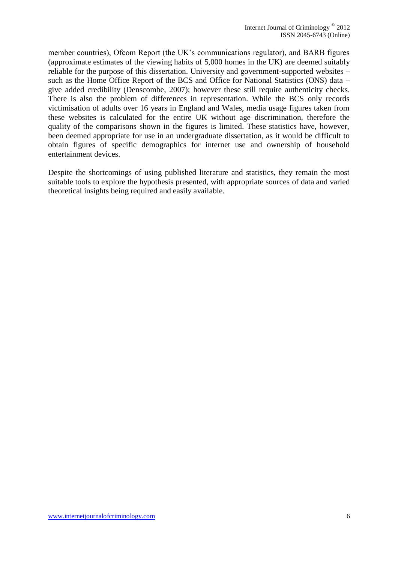member countries), Ofcom Report (the UK's communications regulator), and BARB figures (approximate estimates of the viewing habits of 5,000 homes in the UK) are deemed suitably reliable for the purpose of this dissertation. University and government-supported websites – such as the Home Office Report of the BCS and Office for National Statistics (ONS) data – give added credibility (Denscombe, 2007); however these still require authenticity checks. There is also the problem of differences in representation. While the BCS only records victimisation of adults over 16 years in England and Wales, media usage figures taken from these websites is calculated for the entire UK without age discrimination, therefore the quality of the comparisons shown in the figures is limited. These statistics have, however, been deemed appropriate for use in an undergraduate dissertation, as it would be difficult to obtain figures of specific demographics for internet use and ownership of household entertainment devices.

Despite the shortcomings of using published literature and statistics, they remain the most suitable tools to explore the hypothesis presented, with appropriate sources of data and varied theoretical insights being required and easily available.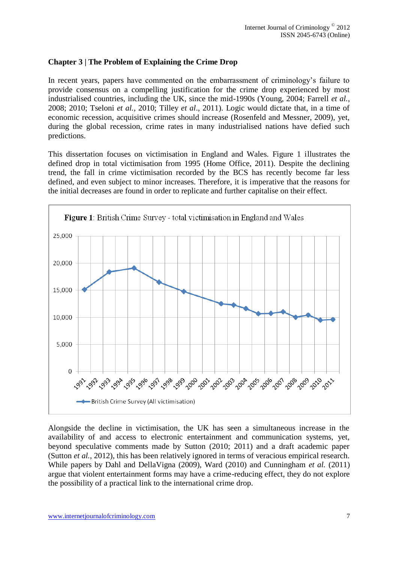## **Chapter 3 | The Problem of Explaining the Crime Drop**

In recent years, papers have commented on the embarrassment of criminology's failure to provide consensus on a compelling justification for the crime drop experienced by most industrialised countries, including the UK, since the mid-1990s (Young, 2004; Farrell *et al.*, 2008; 2010; Tseloni *et al.*, 2010; Tilley *et al*., 2011). Logic would dictate that, in a time of economic recession, acquisitive crimes should increase (Rosenfeld and Messner, 2009), yet, during the global recession, crime rates in many industrialised nations have defied such predictions.

This dissertation focuses on victimisation in England and Wales. Figure 1 illustrates the defined drop in total victimisation from 1995 (Home Office, 2011). Despite the declining trend, the fall in crime victimisation recorded by the BCS has recently become far less defined, and even subject to minor increases. Therefore, it is imperative that the reasons for the initial decreases are found in order to replicate and further capitalise on their effect.



Alongside the decline in victimisation, the UK has seen a simultaneous increase in the availability of and access to electronic entertainment and communication systems, yet, beyond speculative comments made by Sutton (2010; 2011) and a draft academic paper (Sutton *et al.*, 2012), this has been relatively ignored in terms of veracious empirical research. While papers by Dahl and DellaVigna (2009), Ward (2010) and Cunningham *et al.* (2011) argue that violent entertainment forms may have a crime-reducing effect, they do not explore the possibility of a practical link to the international crime drop.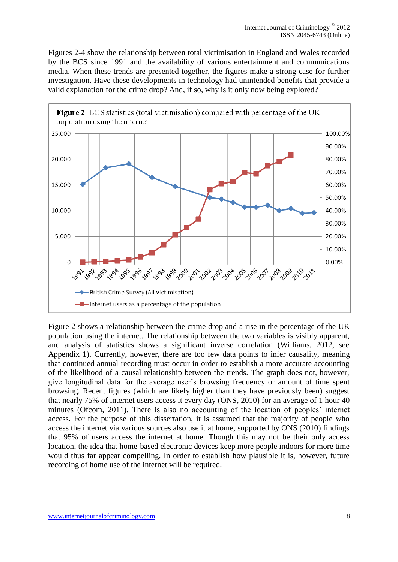Figures 2-4 show the relationship between total victimisation in England and Wales recorded by the BCS since 1991 and the availability of various entertainment and communications media. When these trends are presented together, the figures make a strong case for further investigation. Have these developments in technology had unintended benefits that provide a valid explanation for the crime drop? And, if so, why is it only now being explored?



Figure 2 shows a relationship between the crime drop and a rise in the percentage of the UK population using the internet. The relationship between the two variables is visibly apparent, and analysis of statistics shows a significant inverse correlation (Williams, 2012, see Appendix 1). Currently, however, there are too few data points to infer causality, meaning that continued annual recording must occur in order to establish a more accurate accounting of the likelihood of a causal relationship between the trends. The graph does not, however, give longitudinal data for the average user's browsing frequency or amount of time spent browsing. Recent figures (which are likely higher than they have previously been) suggest that nearly 75% of internet users access it every day (ONS, 2010) for an average of 1 hour 40 minutes (Ofcom, 2011). There is also no accounting of the location of peoples' internet access. For the purpose of this dissertation, it is assumed that the majority of people who access the internet via various sources also use it at home, supported by ONS (2010) findings that 95% of users access the internet at home. Though this may not be their only access location, the idea that home-based electronic devices keep more people indoors for more time would thus far appear compelling. In order to establish how plausible it is, however, future recording of home use of the internet will be required.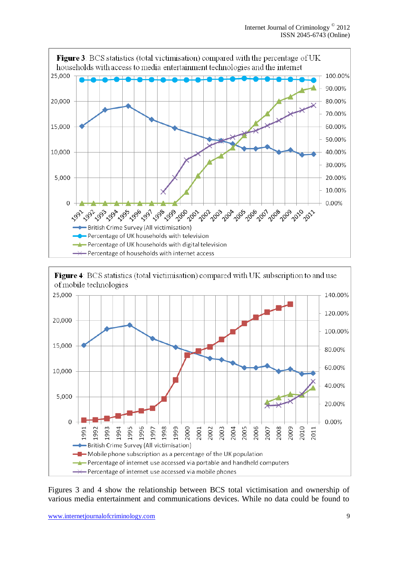



Figures 3 and 4 show the relationship between BCS total victimisation and ownership of various media entertainment and communications devices. While no data could be found to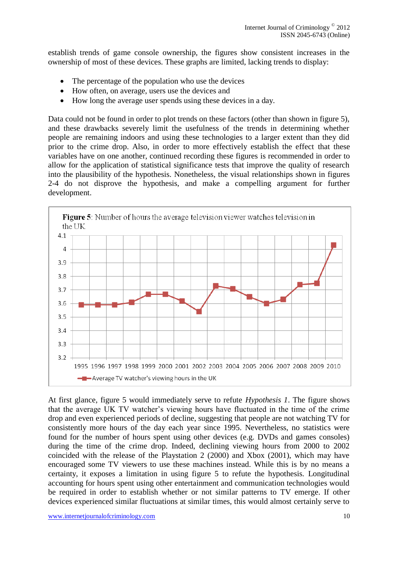establish trends of game console ownership, the figures show consistent increases in the ownership of most of these devices. These graphs are limited, lacking trends to display:

- The percentage of the population who use the devices
- How often, on average, users use the devices and
- How long the average user spends using these devices in a day.

Data could not be found in order to plot trends on these factors (other than shown in figure 5), and these drawbacks severely limit the usefulness of the trends in determining whether people are remaining indoors and using these technologies to a larger extent than they did prior to the crime drop. Also, in order to more effectively establish the effect that these variables have on one another, continued recording these figures is recommended in order to allow for the application of statistical significance tests that improve the quality of research into the plausibility of the hypothesis. Nonetheless, the visual relationships shown in figures 2-4 do not disprove the hypothesis, and make a compelling argument for further development.



At first glance, figure 5 would immediately serve to refute *Hypothesis 1*. The figure shows that the average UK TV watcher's viewing hours have fluctuated in the time of the crime drop and even experienced periods of decline, suggesting that people are not watching TV for consistently more hours of the day each year since 1995. Nevertheless, no statistics were found for the number of hours spent using other devices (e.g. DVDs and games consoles) during the time of the crime drop. Indeed, declining viewing hours from 2000 to 2002 coincided with the release of the Playstation 2 (2000) and Xbox (2001), which may have encouraged some TV viewers to use these machines instead. While this is by no means a certainty, it exposes a limitation in using figure 5 to refute the hypothesis. Longitudinal accounting for hours spent using other entertainment and communication technologies would be required in order to establish whether or not similar patterns to TV emerge. If other devices experienced similar fluctuations at similar times, this would almost certainly serve to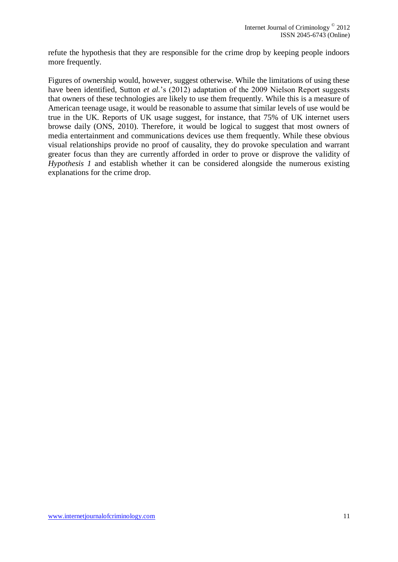refute the hypothesis that they are responsible for the crime drop by keeping people indoors more frequently.

Figures of ownership would, however, suggest otherwise. While the limitations of using these have been identified, Sutton *et al.*'s (2012) adaptation of the 2009 Nielson Report suggests that owners of these technologies are likely to use them frequently. While this is a measure of American teenage usage, it would be reasonable to assume that similar levels of use would be true in the UK. Reports of UK usage suggest, for instance, that 75% of UK internet users browse daily (ONS, 2010). Therefore, it would be logical to suggest that most owners of media entertainment and communications devices use them frequently. While these obvious visual relationships provide no proof of causality, they do provoke speculation and warrant greater focus than they are currently afforded in order to prove or disprove the validity of *Hypothesis 1* and establish whether it can be considered alongside the numerous existing explanations for the crime drop.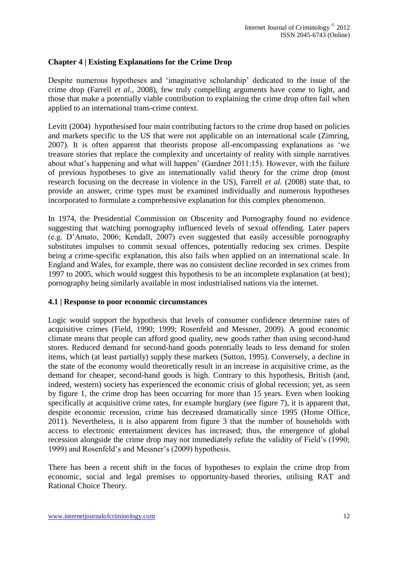#### **Chapter 4 | Existing Explanations for the Crime Drop**

Despite numerous hypotheses and 'imaginative scholarship' dedicated to the issue of the crime drop (Farrell *et al*., 2008), few truly compelling arguments have come to light, and those that make a potentially viable contribution to explaining the crime drop often fail when applied to an international trans-crime context.

Levitt (2004) hypothesised four main contributing factors to the crime drop based on policies and markets specific to the US that were not applicable on an international scale (Zimring, 2007). It is often apparent that theorists propose all-encompassing explanations as 'we treasure stories that replace the complexity and uncertainty of reality with simple narratives about what's happening and what will happen' (Gardner 2011:15). However, with the failure of previous hypotheses to give an internationally valid theory for the crime drop (most research focusing on the decrease in violence in the US), Farrell *et al.* (2008) state that, to provide an answer, crime types must be examined individually and numerous hypotheses incorporated to formulate a comprehensive explanation for this complex phenomenon.

In 1974, the Presidential Commission on Obscenity and Pornography found no evidence suggesting that watching pornography influenced levels of sexual offending. Later papers (e.g. D'Amato, 2006; Kendall, 2007) even suggested that easily accessible pornography substitutes impulses to commit sexual offences, potentially reducing sex crimes. Despite being a crime-specific explanation, this also fails when applied on an international scale. In England and Wales, for example, there was no consistent decline recorded in sex crimes from 1997 to 2005, which would suggest this hypothesis to be an incomplete explanation (at best); pornography being similarly available in most industrialised nations via the internet.

#### **4.1 | Response to poor economic circumstances**

Logic would support the hypothesis that levels of consumer confidence determine rates of acquisitive crimes (Field, 1990; 1999; Rosenfeld and Messner, 2009). A good economic climate means that people can afford good quality, new goods rather than using second-hand stores. Reduced demand for second-hand goods potentially leads to less demand for stolen items, which (at least partially) supply these markets (Sutton, 1995). Conversely, a decline in the state of the economy would theoretically result in an increase in acquisitive crime, as the demand for cheaper, second-hand goods is high. Contrary to this hypothesis, British (and, indeed, western) society has experienced the economic crisis of global recession; yet, as seen by figure 1, the crime drop has been occurring for more than 15 years. Even when looking specifically at acquisitive crime rates, for example burglary (see figure 7), it is apparent that, despite economic recession, crime has decreased dramatically since 1995 (Home Office, 2011). Nevertheless, it is also apparent from figure 3 that the number of households with access to electronic entertainment devices has increased; thus, the emergence of global recession alongside the crime drop may not immediately refute the validity of Field's (1990; 1999) and Rosenfeld's and Messner's (2009) hypothesis.

There has been a recent shift in the focus of hypotheses to explain the crime drop from economic, social and legal premises to opportunity-based theories, utilising RAT and Rational Choice Theory.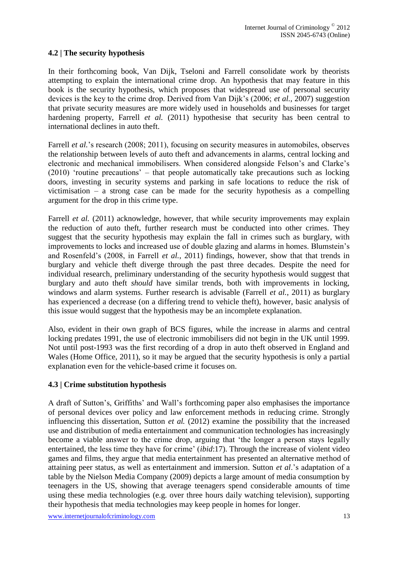## **4.2 | The security hypothesis**

In their forthcoming book, Van Dijk, Tseloni and Farrell consolidate work by theorists attempting to explain the international crime drop. An hypothesis that may feature in this book is the security hypothesis, which proposes that widespread use of personal security devices is the key to the crime drop. Derived from Van Dijk's (2006; *et al.,* 2007) suggestion that private security measures are more widely used in households and businesses for target hardening property, Farrell *et al.* (2011) hypothesise that security has been central to international declines in auto theft.

Farrell *et al.*'s research (2008; 2011), focusing on security measures in automobiles, observes the relationship between levels of auto theft and advancements in alarms, central locking and electronic and mechanical immobilisers. When considered alongside Felson's and Clarke's (2010) 'routine precautions' – that people automatically take precautions such as locking doors, investing in security systems and parking in safe locations to reduce the risk of victimisation – a strong case can be made for the security hypothesis as a compelling argument for the drop in this crime type.

Farrell *et al.* (2011) acknowledge, however, that while security improvements may explain the reduction of auto theft, further research must be conducted into other crimes. They suggest that the security hypothesis may explain the fall in crimes such as burglary, with improvements to locks and increased use of double glazing and alarms in homes. Blumstein's and Rosenfeld's (2008, in Farrell *et al.*, 2011) findings, however, show that that trends in burglary and vehicle theft diverge through the past three decades. Despite the need for individual research, preliminary understanding of the security hypothesis would suggest that burglary and auto theft *should* have similar trends, both with improvements in locking, windows and alarm systems. Further research is advisable (Farrell *et al.*, 2011) as burglary has experienced a decrease (on a differing trend to vehicle theft), however, basic analysis of this issue would suggest that the hypothesis may be an incomplete explanation.

Also, evident in their own graph of BCS figures, while the increase in alarms and central locking predates 1991, the use of electronic immobilisers did not begin in the UK until 1999. Not until post-1993 was the first recording of a drop in auto theft observed in England and Wales (Home Office, 2011), so it may be argued that the security hypothesis is only a partial explanation even for the vehicle-based crime it focuses on.

#### **4.3 | Crime substitution hypothesis**

A draft of Sutton's, Griffiths' and Wall's forthcoming paper also emphasises the importance of personal devices over policy and law enforcement methods in reducing crime. Strongly influencing this dissertation, Sutton *et al.* (2012) examine the possibility that the increased use and distribution of media entertainment and communication technologies has increasingly become a viable answer to the crime drop, arguing that 'the longer a person stays legally entertained, the less time they have for crime' (*ibid*:17). Through the increase of violent video games and films, they argue that media entertainment has presented an alternative method of attaining peer status, as well as entertainment and immersion. Sutton *et al*.'s adaptation of a table by the Nielson Media Company (2009) depicts a large amount of media consumption by teenagers in the US, showing that average teenagers spend considerable amounts of time using these media technologies (e.g. over three hours daily watching television), supporting their hypothesis that media technologies may keep people in homes for longer.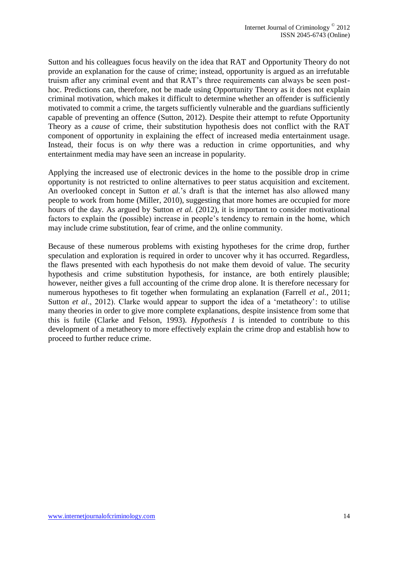Sutton and his colleagues focus heavily on the idea that RAT and Opportunity Theory do not provide an explanation for the cause of crime; instead, opportunity is argued as an irrefutable truism after any criminal event and that RAT's three requirements can always be seen posthoc. Predictions can, therefore, not be made using Opportunity Theory as it does not explain criminal motivation, which makes it difficult to determine whether an offender is sufficiently motivated to commit a crime, the targets sufficiently vulnerable and the guardians sufficiently capable of preventing an offence (Sutton, 2012). Despite their attempt to refute Opportunity Theory as a *cause* of crime, their substitution hypothesis does not conflict with the RAT component of opportunity in explaining the effect of increased media entertainment usage. Instead, their focus is on *why* there was a reduction in crime opportunities, and why entertainment media may have seen an increase in popularity.

Applying the increased use of electronic devices in the home to the possible drop in crime opportunity is not restricted to online alternatives to peer status acquisition and excitement. An overlooked concept in Sutton *et al.*'s draft is that the internet has also allowed many people to work from home (Miller, 2010), suggesting that more homes are occupied for more hours of the day. As argued by Sutton *et al.* (2012), it is important to consider motivational factors to explain the (possible) increase in people's tendency to remain in the home, which may include crime substitution, fear of crime, and the online community.

Because of these numerous problems with existing hypotheses for the crime drop, further speculation and exploration is required in order to uncover why it has occurred. Regardless, the flaws presented with each hypothesis do not make them devoid of value. The security hypothesis and crime substitution hypothesis, for instance, are both entirely plausible; however, neither gives a full accounting of the crime drop alone. It is therefore necessary for numerous hypotheses to fit together when formulating an explanation (Farrell *et al.*, 2011; Sutton *et al.*, 2012). Clarke would appear to support the idea of a 'metatheory': to utilise many theories in order to give more complete explanations, despite insistence from some that this is futile (Clarke and Felson, 1993). *Hypothesis 1* is intended to contribute to this development of a metatheory to more effectively explain the crime drop and establish how to proceed to further reduce crime.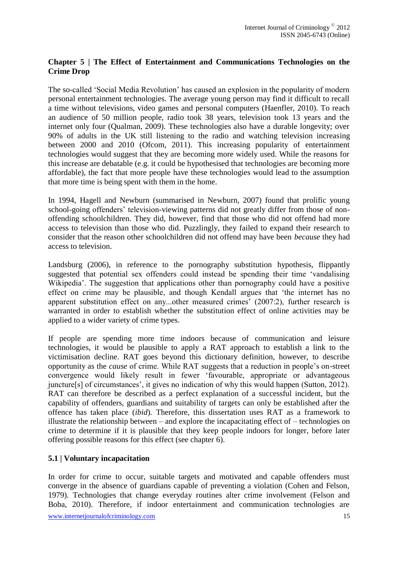## **Chapter 5 | The Effect of Entertainment and Communications Technologies on the Crime Drop**

The so-called 'Social Media Revolution' has caused an explosion in the popularity of modern personal entertainment technologies. The average young person may find it difficult to recall a time without televisions, video games and personal computers (Haenfler, 2010). To reach an audience of 50 million people, radio took 38 years, television took 13 years and the internet only four (Qualman, 2009). These technologies also have a durable longevity; over 90% of adults in the UK still listening to the radio and watching television increasing between 2000 and 2010 (Ofcom, 2011). This increasing popularity of entertainment technologies would suggest that they are becoming more widely used. While the reasons for this increase are debatable (e.g. it could be hypothesised that technologies are becoming more affordable), the fact that more people have these technologies would lead to the assumption that more time is being spent with them in the home.

In 1994, Hagell and Newburn (summarised in Newburn, 2007) found that prolific young school-going offenders' television-viewing patterns did not greatly differ from those of nonoffending schoolchildren. They did, however, find that those who did not offend had more access to television than those who did. Puzzlingly, they failed to expand their research to consider that the reason other schoolchildren did not offend may have been *because* they had access to television.

Landsburg (2006), in reference to the pornography substitution hypothesis, flippantly suggested that potential sex offenders could instead be spending their time 'vandalising Wikipedia'. The suggestion that applications other than pornography could have a positive effect on crime may be plausible, and though Kendall argues that 'the internet has no apparent substitution effect on any...other measured crimes' (2007:2), further research is warranted in order to establish whether the substitution effect of online activities may be applied to a wider variety of crime types.

If people are spending more time indoors because of communication and leisure technologies, it would be plausible to apply a RAT approach to establish a link to the victimisation decline. RAT goes beyond this dictionary definition, however, to describe opportunity as the *cause* of crime. While RAT suggests that a reduction in people's on-street convergence would likely result in fewer 'favourable, appropriate or advantageous juncture[s] of circumstances', it gives no indication of why this would happen (Sutton, 2012). RAT can therefore be described as a perfect explanation of a successful incident, but the capability of offenders, guardians and suitability of targets can only be established after the offence has taken place (*ibid*). Therefore, this dissertation uses RAT as a framework to illustrate the relationship between – and explore the incapacitating effect of – technologies on crime to determine if it is plausible that they keep people indoors for longer, before later offering possible reasons for this effect (see chapter 6).

## **5.1 | Voluntary incapacitation**

In order for crime to occur, suitable targets and motivated and capable offenders must converge in the absence of guardians capable of preventing a violation (Cohen and Felson, 1979). Technologies that change everyday routines alter crime involvement (Felson and Boba, 2010). Therefore, if indoor entertainment and communication technologies are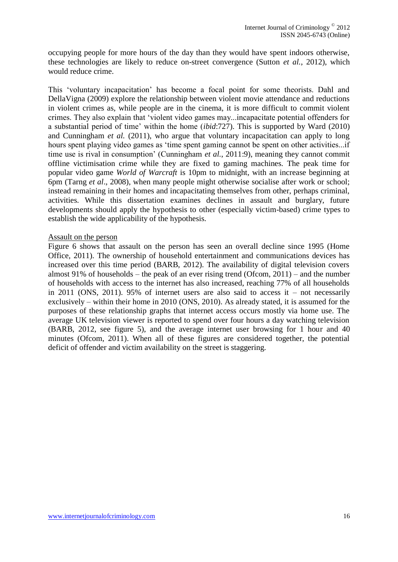occupying people for more hours of the day than they would have spent indoors otherwise, these technologies are likely to reduce on-street convergence (Sutton *et al.*, 2012), which would reduce crime.

This 'voluntary incapacitation' has become a focal point for some theorists. Dahl and DellaVigna (2009) explore the relationship between violent movie attendance and reductions in violent crimes as, while people are in the cinema, it is more difficult to commit violent crimes. They also explain that 'violent video games may...incapacitate potential offenders for a substantial period of time' within the home (*ibid*:727). This is supported by Ward (2010) and Cunningham *et al.* (2011), who argue that voluntary incapacitation can apply to long hours spent playing video games as 'time spent gaming cannot be spent on other activities...if time use is rival in consumption' (Cunningham *et al.*, 2011:9), meaning they cannot commit offline victimisation crime while they are fixed to gaming machines. The peak time for popular video game *World of Warcraft* is 10pm to midnight, with an increase beginning at 6pm (Tarng *et al*., 2008), when many people might otherwise socialise after work or school; instead remaining in their homes and incapacitating themselves from other, perhaps criminal, activities. While this dissertation examines declines in assault and burglary, future developments should apply the hypothesis to other (especially victim-based) crime types to establish the wide applicability of the hypothesis.

#### Assault on the person

Figure 6 shows that assault on the person has seen an overall decline since 1995 (Home Office, 2011). The ownership of household entertainment and communications devices has increased over this time period (BARB, 2012). The availability of digital television covers almost 91% of households – the peak of an ever rising trend (Ofcom,  $2011$ ) – and the number of households with access to the internet has also increased, reaching 77% of all households in 2011 (ONS, 2011). 95% of internet users are also said to access it – not necessarily exclusively – within their home in 2010 (ONS, 2010). As already stated, it is assumed for the purposes of these relationship graphs that internet access occurs mostly via home use. The average UK television viewer is reported to spend over four hours a day watching television (BARB, 2012, see figure 5), and the average internet user browsing for 1 hour and 40 minutes (Ofcom, 2011). When all of these figures are considered together, the potential deficit of offender and victim availability on the street is staggering.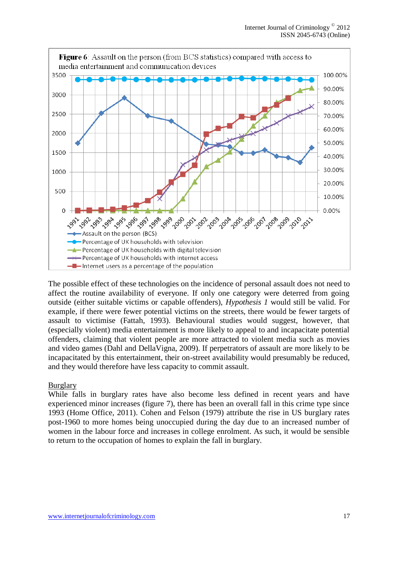

The possible effect of these technologies on the incidence of personal assault does not need to affect the routine availability of everyone. If only one category were deterred from going outside (either suitable victims or capable offenders), *Hypothesis 1* would still be valid. For example, if there were fewer potential victims on the streets, there would be fewer targets of assault to victimise (Fattah, 1993). Behavioural studies would suggest, however, that (especially violent) media entertainment is more likely to appeal to and incapacitate potential offenders, claiming that violent people are more attracted to violent media such as movies and video games (Dahl and DellaVigna, 2009). If perpetrators of assault are more likely to be incapacitated by this entertainment, their on-street availability would presumably be reduced, and they would therefore have less capacity to commit assault.

#### Burglary

While falls in burglary rates have also become less defined in recent years and have experienced minor increases (figure 7), there has been an overall fall in this crime type since 1993 (Home Office, 2011). Cohen and Felson (1979) attribute the rise in US burglary rates post-1960 to more homes being unoccupied during the day due to an increased number of women in the labour force and increases in college enrolment. As such, it would be sensible to return to the occupation of homes to explain the fall in burglary.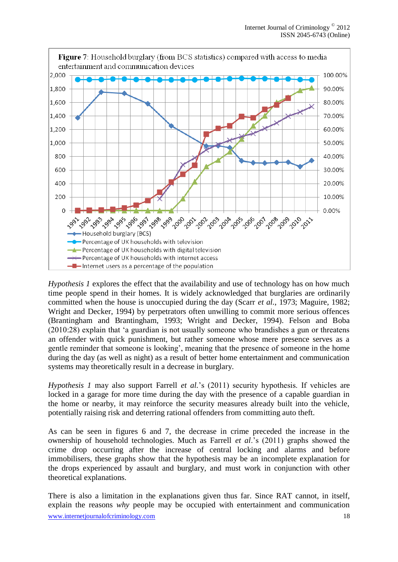

*Hypothesis 1* explores the effect that the availability and use of technology has on how much time people spend in their homes. It is widely acknowledged that burglaries are ordinarily committed when the house is unoccupied during the day (Scarr *et al.*, 1973; Maguire, 1982; Wright and Decker, 1994) by perpetrators often unwilling to commit more serious offences (Brantingham and Brantingham, 1993; Wright and Decker, 1994). Felson and Boba (2010:28) explain that 'a guardian is not usually someone who brandishes a gun or threatens an offender with quick punishment, but rather someone whose mere presence serves as a gentle reminder that someone is looking', meaning that the presence of someone in the home during the day (as well as night) as a result of better home entertainment and communication systems may theoretically result in a decrease in burglary.

*Hypothesis 1* may also support Farrell *et al.*'s (2011) security hypothesis. If vehicles are locked in a garage for more time during the day with the presence of a capable guardian in the home or nearby, it may reinforce the security measures already built into the vehicle, potentially raising risk and deterring rational offenders from committing auto theft.

As can be seen in figures 6 and 7, the decrease in crime preceded the increase in the ownership of household technologies. Much as Farrell *et al*.'s (2011) graphs showed the crime drop occurring after the increase of central locking and alarms and before immobilisers, these graphs show that the hypothesis may be an incomplete explanation for the drops experienced by assault and burglary, and must work in conjunction with other theoretical explanations.

www.internetjournalofcriminology.com 18 There is also a limitation in the explanations given thus far. Since RAT cannot, in itself, explain the reasons *why* people may be occupied with entertainment and communication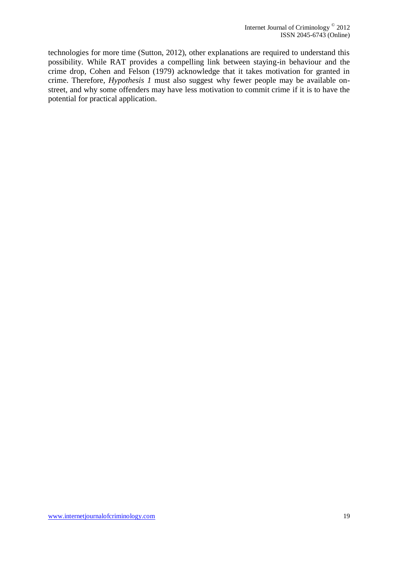technologies for more time (Sutton, 2012), other explanations are required to understand this possibility. While RAT provides a compelling link between staying-in behaviour and the crime drop, Cohen and Felson (1979) acknowledge that it takes motivation for granted in crime. Therefore, *Hypothesis 1* must also suggest why fewer people may be available onstreet, and why some offenders may have less motivation to commit crime if it is to have the potential for practical application.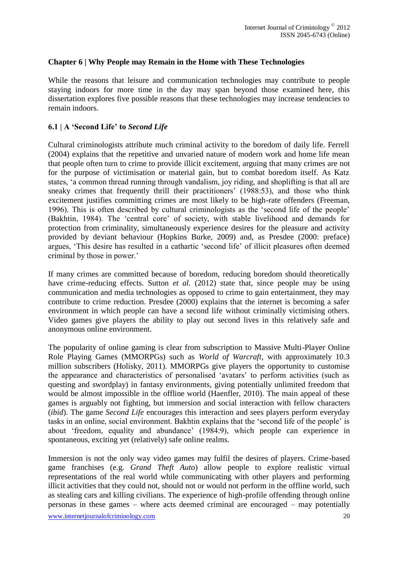#### **Chapter 6 | Why People may Remain in the Home with These Technologies**

While the reasons that leisure and communication technologies may contribute to people staying indoors for more time in the day may span beyond those examined here, this dissertation explores five possible reasons that these technologies may increase tendencies to remain indoors.

### **6.1 | A 'Second Life' to** *Second Life*

Cultural criminologists attribute much criminal activity to the boredom of daily life. Ferrell (2004) explains that the repetitive and unvaried nature of modern work and home life mean that people often turn to crime to provide illicit excitement, arguing that many crimes are not for the purpose of victimisation or material gain, but to combat boredom itself. As Katz states, 'a common thread running through vandalism, joy riding, and shoplifting is that all are sneaky crimes that frequently thrill their practitioners' (1988:53), and those who think excitement justifies committing crimes are most likely to be high-rate offenders (Freeman, 1996). This is often described by cultural criminologists as the 'second life of the people' (Bakhtin, 1984). The 'central core' of society, with stable livelihood and demands for protection from criminality, simultaneously experience desires for the pleasure and activity provided by deviant behaviour (Hopkins Burke, 2009) and, as Presdee (2000: preface) argues, 'This desire has resulted in a cathartic 'second life' of illicit pleasures often deemed criminal by those in power.'

If many crimes are committed because of boredom, reducing boredom should theoretically have crime-reducing effects. Sutton *et al.* (2012) state that, since people may be using communication and media technologies as opposed to crime to gain entertainment, they may contribute to crime reduction. Presdee (2000) explains that the internet is becoming a safer environment in which people can have a second life without criminally victimising others. Video games give players the ability to play out second lives in this relatively safe and anonymous online environment.

The popularity of online gaming is clear from subscription to Massive Multi-Player Online Role Playing Games (MMORPGs) such as *World of Warcraft*, with approximately 10.3 million subscribers (Holisky, 2011). MMORPGs give players the opportunity to customise the appearance and characteristics of personalised 'avatars' to perform activities (such as questing and swordplay) in fantasy environments, giving potentially unlimited freedom that would be almost impossible in the offline world (Haenfler, 2010). The main appeal of these games is arguably not fighting, but immersion and social interaction with fellow characters (*ibid*). The game *Second Life* encourages this interaction and sees players perform everyday tasks in an online, social environment. Bakhtin explains that the 'second life of the people' is about 'freedom, equality and abundance' (1984:9), which people can experience in spontaneous, exciting yet (relatively) safe online realms.

Immersion is not the only way video games may fulfil the desires of players. Crime-based game franchises (e.g. *Grand Theft Auto*) allow people to explore realistic virtual representations of the real world while communicating with other players and performing illicit activities that they could not, should not or would not perform in the offline world, such as stealing cars and killing civilians. The experience of high-profile offending through online personas in these games – where acts deemed criminal are encouraged – may potentially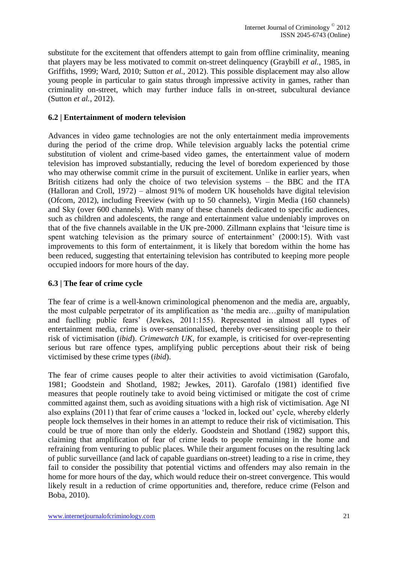substitute for the excitement that offenders attempt to gain from offline criminality, meaning that players may be less motivated to commit on-street delinquency (Graybill *et al.*, 1985, in Griffiths, 1999; Ward, 2010; Sutton *et al.*, 2012). This possible displacement may also allow young people in particular to gain status through impressive activity in games, rather than criminality on-street, which may further induce falls in on-street, subcultural deviance (Sutton *et al.*, 2012).

## **6.2 | Entertainment of modern television**

Advances in video game technologies are not the only entertainment media improvements during the period of the crime drop. While television arguably lacks the potential crime substitution of violent and crime-based video games, the entertainment value of modern television has improved substantially, reducing the level of boredom experienced by those who may otherwise commit crime in the pursuit of excitement. Unlike in earlier years, when British citizens had only the choice of two television systems – the BBC and the ITA (Halloran and Croll, 1972) – almost 91% of modern UK households have digital television (Ofcom, 2012), including Freeview (with up to 50 channels), Virgin Media (160 channels) and Sky (over 600 channels). With many of these channels dedicated to specific audiences, such as children and adolescents, the range and entertainment value undeniably improves on that of the five channels available in the UK pre-2000. Zillmann explains that 'leisure time is spent watching television as the primary source of entertainment' (2000:15). With vast improvements to this form of entertainment, it is likely that boredom within the home has been reduced, suggesting that entertaining television has contributed to keeping more people occupied indoors for more hours of the day.

## **6.3 | The fear of crime cycle**

The fear of crime is a well-known criminological phenomenon and the media are, arguably, the most culpable perpetrator of its amplification as 'the media are…guilty of manipulation and fuelling public fears' (Jewkes, 2011:155). Represented in almost all types of entertainment media, crime is over-sensationalised, thereby over-sensitising people to their risk of victimisation (*ibid*). *Crimewatch UK*, for example, is criticised for over-representing serious but rare offence types, amplifying public perceptions about their risk of being victimised by these crime types (*ibid*).

The fear of crime causes people to alter their activities to avoid victimisation (Garofalo, 1981; Goodstein and Shotland, 1982; Jewkes, 2011). Garofalo (1981) identified five measures that people routinely take to avoid being victimised or mitigate the cost of crime committed against them, such as avoiding situations with a high risk of victimisation. Age NI also explains (2011) that fear of crime causes a 'locked in, locked out' cycle, whereby elderly people lock themselves in their homes in an attempt to reduce their risk of victimisation. This could be true of more than only the elderly. Goodstein and Shotland (1982) support this, claiming that amplification of fear of crime leads to people remaining in the home and refraining from venturing to public places. While their argument focuses on the resulting lack of public surveillance (and lack of capable guardians on-street) leading to a rise in crime, they fail to consider the possibility that potential victims and offenders may also remain in the home for more hours of the day, which would reduce their on-street convergence. This would likely result in a reduction of crime opportunities and, therefore, reduce crime (Felson and Boba, 2010).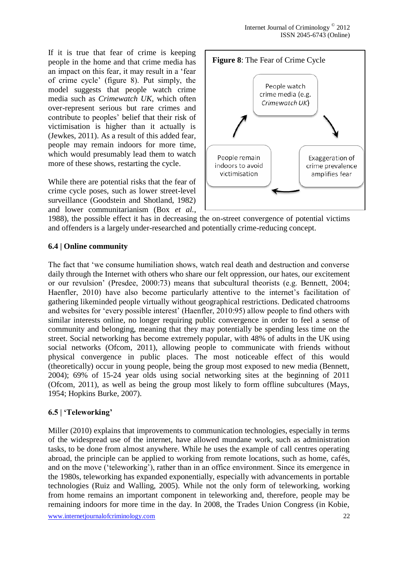If it is true that fear of crime is keeping people in the home and that crime media has an impact on this fear, it may result in a 'fear of crime cycle' (figure 8). Put simply, the model suggests that people watch crime media such as *Crimewatch UK*, which often over-represent serious but rare crimes and contribute to peoples' belief that their risk of victimisation is higher than it actually is (Jewkes, 2011). As a result of this added fear, people may remain indoors for more time, which would presumably lead them to watch more of these shows, restarting the cycle.

While there are potential risks that the fear of crime cycle poses, such as lower street-level surveillance (Goodstein and Shotland, 1982) and lower communitarianism (Box *et al.*,



1988), the possible effect it has in decreasing the on-street convergence of potential victims and offenders is a largely under-researched and potentially crime-reducing concept.

## **6.4 | Online community**

The fact that 'we consume humiliation shows, watch real death and destruction and converse daily through the Internet with others who share our felt oppression, our hates, our excitement or our revulsion' (Presdee, 2000:73) means that subcultural theorists (e.g. Bennett, 2004; Haenfler, 2010) have also become particularly attentive to the internet's facilitation of gathering likeminded people virtually without geographical restrictions. Dedicated chatrooms and websites for 'every possible interest' (Haenfler, 2010:95) allow people to find others with similar interests online, no longer requiring public convergence in order to feel a sense of community and belonging, meaning that they may potentially be spending less time on the street. Social networking has become extremely popular, with 48% of adults in the UK using social networks (Ofcom, 2011), allowing people to communicate with friends without physical convergence in public places. The most noticeable effect of this would (theoretically) occur in young people, being the group most exposed to new media (Bennett, 2004); 69% of 15-24 year olds using social networking sites at the beginning of 2011 (Ofcom, 2011), as well as being the group most likely to form offline subcultures (Mays, 1954; Hopkins Burke, 2007).

## **6.5 | 'Teleworking'**

Miller (2010) explains that improvements to communication technologies, especially in terms of the widespread use of the internet, have allowed mundane work, such as administration tasks, to be done from almost anywhere. While he uses the example of call centres operating abroad, the principle can be applied to working from remote locations, such as home, cafés, and on the move ('teleworking'), rather than in an office environment. Since its emergence in the 1980s, teleworking has expanded exponentially, especially with advancements in portable technologies (Ruiz and Walling, 2005). While not the only form of teleworking, working from home remains an important component in teleworking and, therefore, people may be remaining indoors for more time in the day. In 2008, the Trades Union Congress (in Kobie,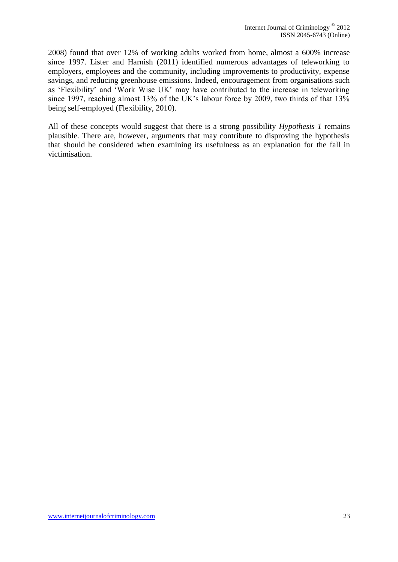2008) found that over 12% of working adults worked from home, almost a 600% increase since 1997. Lister and Harnish (2011) identified numerous advantages of teleworking to employers, employees and the community, including improvements to productivity, expense savings, and reducing greenhouse emissions. Indeed, encouragement from organisations such as 'Flexibility' and 'Work Wise UK' may have contributed to the increase in teleworking since 1997, reaching almost 13% of the UK's labour force by 2009, two thirds of that 13% being self-employed (Flexibility, 2010).

All of these concepts would suggest that there is a strong possibility *Hypothesis 1* remains plausible. There are, however, arguments that may contribute to disproving the hypothesis that should be considered when examining its usefulness as an explanation for the fall in victimisation.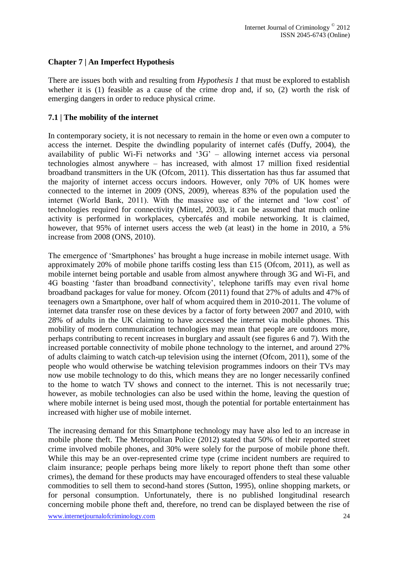## **Chapter 7 | An Imperfect Hypothesis**

There are issues both with and resulting from *Hypothesis 1* that must be explored to establish whether it is (1) feasible as a cause of the crime drop and, if so, (2) worth the risk of emerging dangers in order to reduce physical crime.

#### **7.1 | The mobility of the internet**

In contemporary society, it is not necessary to remain in the home or even own a computer to access the internet. Despite the dwindling popularity of internet cafés (Duffy, 2004), the availability of public Wi-Fi networks and '3G' – allowing internet access via personal technologies almost anywhere – has increased, with almost 17 million fixed residential broadband transmitters in the UK (Ofcom, 2011). This dissertation has thus far assumed that the majority of internet access occurs indoors. However, only 70% of UK homes were connected to the internet in 2009 (ONS, 2009), whereas 83% of the population used the internet (World Bank, 2011). With the massive use of the internet and 'low cost' of technologies required for connectivity (Mintel, 2003), it can be assumed that much online activity is performed in workplaces, cybercafés and mobile networking. It is claimed, however, that 95% of internet users access the web (at least) in the home in 2010, a 5% increase from 2008 (ONS, 2010).

The emergence of 'Smartphones' has brought a huge increase in mobile internet usage. With approximately 20% of mobile phone tariffs costing less than £15 (Ofcom, 2011), as well as mobile internet being portable and usable from almost anywhere through 3G and Wi-Fi, and 4G boasting 'faster than broadband connectivity', telephone tariffs may even rival home broadband packages for value for money. Ofcom (2011) found that 27% of adults and 47% of teenagers own a Smartphone, over half of whom acquired them in 2010-2011. The volume of internet data transfer rose on these devices by a factor of forty between 2007 and 2010, with 28% of adults in the UK claiming to have accessed the internet via mobile phones. This mobility of modern communication technologies may mean that people are outdoors more, perhaps contributing to recent increases in burglary and assault (see figures 6 and 7). With the increased portable connectivity of mobile phone technology to the internet, and around 27% of adults claiming to watch catch-up television using the internet (Ofcom, 2011), some of the people who would otherwise be watching television programmes indoors on their TVs may now use mobile technology to do this, which means they are no longer necessarily confined to the home to watch TV shows and connect to the internet. This is not necessarily true; however, as mobile technologies can also be used within the home, leaving the question of where mobile internet is being used most, though the potential for portable entertainment has increased with higher use of mobile internet.

The increasing demand for this Smartphone technology may have also led to an increase in mobile phone theft. The Metropolitan Police (2012) stated that 50% of their reported street crime involved mobile phones, and 30% were solely for the purpose of mobile phone theft. While this may be an over-represented crime type (crime incident numbers are required to claim insurance; people perhaps being more likely to report phone theft than some other crimes), the demand for these products may have encouraged offenders to steal these valuable commodities to sell them to second-hand stores (Sutton, 1995), online shopping markets, or for personal consumption. Unfortunately, there is no published longitudinal research concerning mobile phone theft and, therefore, no trend can be displayed between the rise of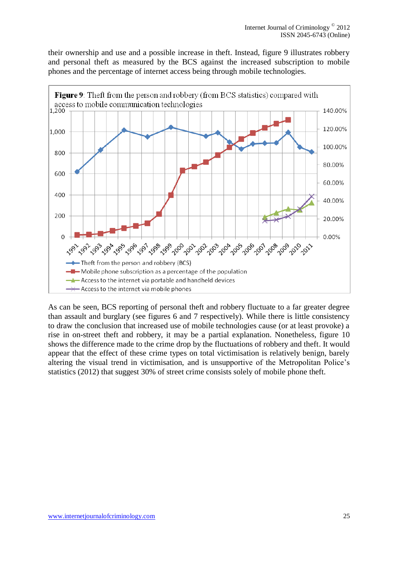their ownership and use and a possible increase in theft. Instead, figure 9 illustrates robbery and personal theft as measured by the BCS against the increased subscription to mobile phones and the percentage of internet access being through mobile technologies.



As can be seen, BCS reporting of personal theft and robbery fluctuate to a far greater degree than assault and burglary (see figures 6 and 7 respectively). While there is little consistency to draw the conclusion that increased use of mobile technologies cause (or at least provoke) a rise in on-street theft and robbery, it may be a partial explanation. Nonetheless, figure 10 shows the difference made to the crime drop by the fluctuations of robbery and theft. It would appear that the effect of these crime types on total victimisation is relatively benign, barely altering the visual trend in victimisation, and is unsupportive of the Metropolitan Police's statistics (2012) that suggest 30% of street crime consists solely of mobile phone theft.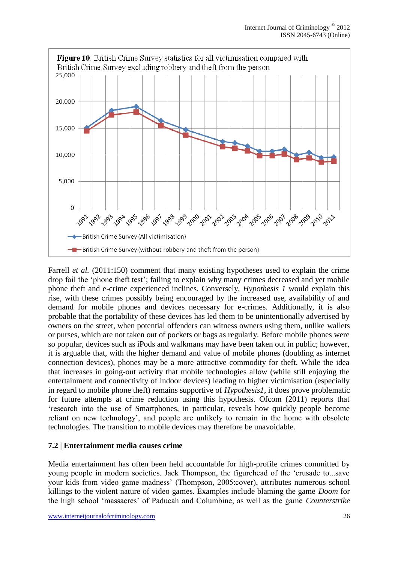

Farrell *et al.* (2011:150) comment that many existing hypotheses used to explain the crime drop fail the 'phone theft test'; failing to explain why many crimes decreased and yet mobile phone theft and e-crime experienced inclines. Conversely, *Hypothesis 1* would explain this rise, with these crimes possibly being encouraged by the increased use, availability of and demand for mobile phones and devices necessary for e-crimes. Additionally, it is also probable that the portability of these devices has led them to be unintentionally advertised by owners on the street, when potential offenders can witness owners using them, unlike wallets or purses, which are not taken out of pockets or bags as regularly. Before mobile phones were so popular, devices such as iPods and walkmans may have been taken out in public; however, it is arguable that, with the higher demand and value of mobile phones (doubling as internet connection devices), phones may be a more attractive commodity for theft. While the idea that increases in going-out activity that mobile technologies allow (while still enjoying the entertainment and connectivity of indoor devices) leading to higher victimisation (especially in regard to mobile phone theft) remains supportive of *Hypothesis1*, it does prove problematic for future attempts at crime reduction using this hypothesis. Ofcom (2011) reports that 'research into the use of Smartphones, in particular, reveals how quickly people become reliant on new technology', and people are unlikely to remain in the home with obsolete technologies. The transition to mobile devices may therefore be unavoidable.

## **7.2 | Entertainment media causes crime**

Media entertainment has often been held accountable for high-profile crimes committed by young people in modern societies. Jack Thompson, the figurehead of the 'crusade to...save your kids from video game madness' (Thompson, 2005:cover), attributes numerous school killings to the violent nature of video games. Examples include blaming the game *Doom* for the high school 'massacres' of Paducah and Columbine, as well as the game *Counterstrike*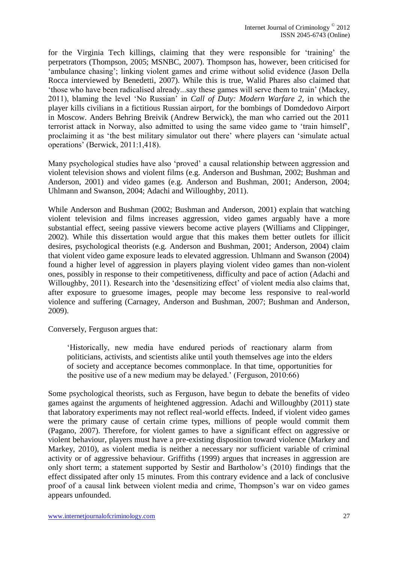for the Virginia Tech killings, claiming that they were responsible for 'training' the perpetrators (Thompson, 2005; MSNBC, 2007). Thompson has, however, been criticised for 'ambulance chasing'; linking violent games and crime without solid evidence (Jason Della Rocca interviewed by Benedetti, 2007). While this is true, Walid Phares also claimed that 'those who have been radicalised already...say these games will serve them to train' (Mackey, 2011), blaming the level 'No Russian' in *Call of Duty: Modern Warfare 2*, in which the player kills civilians in a fictitious Russian airport, for the bombings of Domdedovo Airport in Moscow. Anders Behring Breivik (Andrew Berwick), the man who carried out the 2011 terrorist attack in Norway, also admitted to using the same video game to 'train himself', proclaiming it as 'the best military simulator out there' where players can 'simulate actual operations' (Berwick, 2011:1,418).

Many psychological studies have also 'proved' a causal relationship between aggression and violent television shows and violent films (e.g. Anderson and Bushman, 2002; Bushman and Anderson, 2001) and video games (e.g. Anderson and Bushman, 2001; Anderson, 2004; Uhlmann and Swanson, 2004; Adachi and Willoughby, 2011).

While Anderson and Bushman (2002; Bushman and Anderson, 2001) explain that watching violent television and films increases aggression, video games arguably have a more substantial effect, seeing passive viewers become active players (Williams and Clippinger, 2002). While this dissertation would argue that this makes them better outlets for illicit desires, psychological theorists (e.g. Anderson and Bushman, 2001; Anderson, 2004) claim that violent video game exposure leads to elevated aggression. Uhlmann and Swanson (2004) found a higher level of aggression in players playing violent video games than non-violent ones, possibly in response to their competitiveness, difficulty and pace of action (Adachi and Willoughby, 2011). Research into the 'desensitizing effect' of violent media also claims that, after exposure to gruesome images, people may become less responsive to real-world violence and suffering (Carnagey, Anderson and Bushman, 2007; Bushman and Anderson, 2009).

Conversely, Ferguson argues that:

'Historically, new media have endured periods of reactionary alarm from politicians, activists, and scientists alike until youth themselves age into the elders of society and acceptance becomes commonplace. In that time, opportunities for the positive use of a new medium may be delayed.' (Ferguson, 2010:66)

Some psychological theorists, such as Ferguson, have begun to debate the benefits of video games against the arguments of heightened aggression. Adachi and Willoughby (2011) state that laboratory experiments may not reflect real-world effects. Indeed, if violent video games were the primary cause of certain crime types, millions of people would commit them (Pagano, 2007). Therefore, for violent games to have a significant effect on aggressive or violent behaviour, players must have a pre-existing disposition toward violence (Markey and Markey, 2010), as violent media is neither a necessary nor sufficient variable of criminal activity or of aggressive behaviour. Griffiths (1999) argues that increases in aggression are only short term; a statement supported by Sestir and Bartholow's (2010) findings that the effect dissipated after only 15 minutes. From this contrary evidence and a lack of conclusive proof of a causal link between violent media and crime, Thompson's war on video games appears unfounded.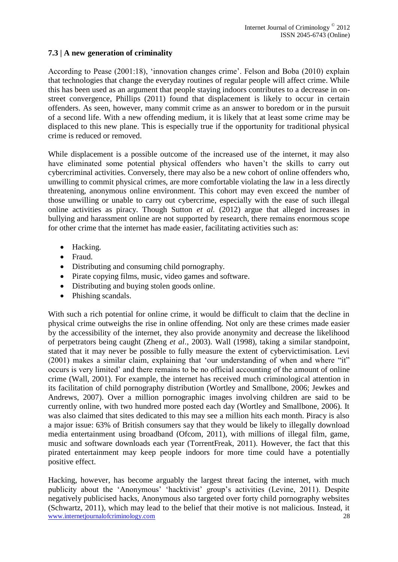## **7.3 | A new generation of criminality**

According to Pease (2001:18), 'innovation changes crime'. Felson and Boba (2010) explain that technologies that change the everyday routines of regular people will affect crime. While this has been used as an argument that people staying indoors contributes to a decrease in onstreet convergence, Phillips (2011) found that displacement is likely to occur in certain offenders. As seen, however, many commit crime as an answer to boredom or in the pursuit of a second life. With a new offending medium, it is likely that at least some crime may be displaced to this new plane. This is especially true if the opportunity for traditional physical crime is reduced or removed.

While displacement is a possible outcome of the increased use of the internet, it may also have eliminated some potential physical offenders who haven't the skills to carry out cybercriminal activities. Conversely, there may also be a new cohort of online offenders who, unwilling to commit physical crimes, are more comfortable violating the law in a less directly threatening, anonymous online environment. This cohort may even exceed the number of those unwilling or unable to carry out cybercrime, especially with the ease of such illegal online activities as piracy. Though Sutton *et al.* (2012) argue that alleged increases in bullying and harassment online are not supported by research, there remains enormous scope for other crime that the internet has made easier, facilitating activities such as:

- Hacking.
- Fraud.
- Distributing and consuming child pornography.
- Pirate copying films, music, video games and software.
- Distributing and buying stolen goods online.
- Phishing scandals.

With such a rich potential for online crime, it would be difficult to claim that the decline in physical crime outweighs the rise in online offending. Not only are these crimes made easier by the accessibility of the internet, they also provide anonymity and decrease the likelihood of perpetrators being caught (Zheng *et al.*, 2003). Wall (1998), taking a similar standpoint, stated that it may never be possible to fully measure the extent of cybervictimisation. Levi (2001) makes a similar claim, explaining that 'our understanding of when and where "it" occurs is very limited' and there remains to be no official accounting of the amount of online crime (Wall, 2001). For example, the internet has received much criminological attention in its facilitation of child pornography distribution (Wortley and Smallbone, 2006; Jewkes and Andrews, 2007). Over a million pornographic images involving children are said to be currently online, with two hundred more posted each day (Wortley and Smallbone, 2006). It was also claimed that sites dedicated to this may see a million hits each month. Piracy is also a major issue: 63% of British consumers say that they would be likely to illegally download media entertainment using broadband (Ofcom, 2011), with millions of illegal film, game, music and software downloads each year (TorrentFreak, 2011). However, the fact that this pirated entertainment may keep people indoors for more time could have a potentially positive effect.

www.internetjournalofcriminology.com 28 Hacking, however, has become arguably the largest threat facing the internet, with much publicity about the 'Anonymous' 'hacktivist' group's activities (Levine, 2011). Despite negatively publicised hacks, Anonymous also targeted over forty child pornography websites (Schwartz, 2011), which may lead to the belief that their motive is not malicious. Instead, it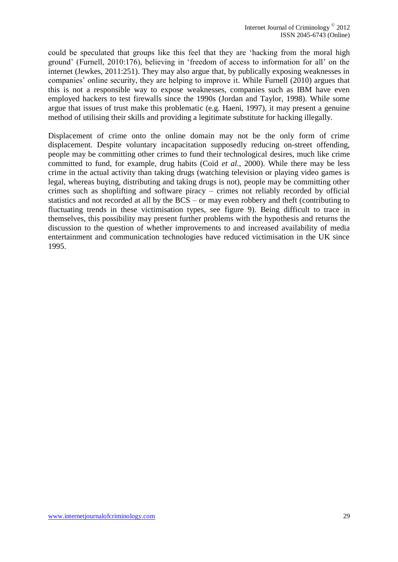could be speculated that groups like this feel that they are 'hacking from the moral high ground' (Furnell, 2010:176), believing in 'freedom of access to information for all' on the internet (Jewkes, 2011:251). They may also argue that, by publically exposing weaknesses in companies' online security, they are helping to improve it. While Furnell (2010) argues that this is not a responsible way to expose weaknesses, companies such as IBM have even employed hackers to test firewalls since the 1990s (Jordan and Taylor, 1998). While some argue that issues of trust make this problematic (e.g. Haeni, 1997), it may present a genuine method of utilising their skills and providing a legitimate substitute for hacking illegally.

Displacement of crime onto the online domain may not be the only form of crime displacement. Despite voluntary incapacitation supposedly reducing on-street offending, people may be committing other crimes to fund their technological desires, much like crime committed to fund, for example, drug habits (Coid *et al.*, 2000). While there may be less crime in the actual activity than taking drugs (watching television or playing video games is legal, whereas buying, distributing and taking drugs is not), people may be committing other crimes such as shoplifting and software piracy – crimes not reliably recorded by official statistics and not recorded at all by the BCS – or may even robbery and theft (contributing to fluctuating trends in these victimisation types, see figure 9). Being difficult to trace in themselves, this possibility may present further problems with the hypothesis and returns the discussion to the question of whether improvements to and increased availability of media entertainment and communication technologies have reduced victimisation in the UK since 1995.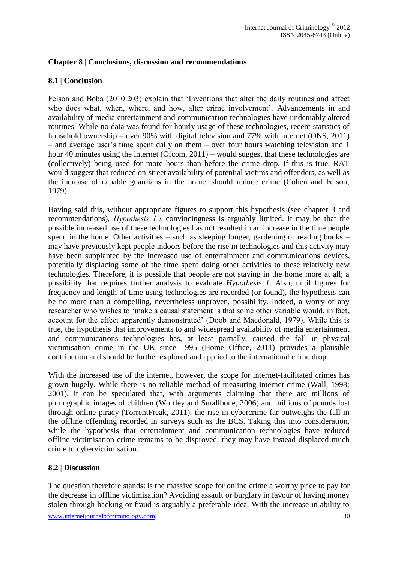#### **Chapter 8 | Conclusions, discussion and recommendations**

### **8.1 | Conclusion**

Felson and Boba (2010:203) explain that 'Inventions that alter the daily routines and affect who does what, when, where, and how, alter crime involvement'. Advancements in and availability of media entertainment and communication technologies have undeniably altered routines. While no data was found for hourly usage of these technologies, recent statistics of household ownership – over 90% with digital television and 77% with internet (ONS, 2011) – and average user's time spent daily on them – over four hours watching television and 1 hour 40 minutes using the internet (Ofcom, 2011) – would suggest that these technologies are (collectively) being used for more hours than before the crime drop. If this is true, RAT would suggest that reduced on-street availability of potential victims and offenders, as well as the increase of capable guardians in the home, should reduce crime (Cohen and Felson, 1979).

Having said this, without appropriate figures to support this hypothesis (see chapter 3 and recommendations), *Hypothesis 1's* convincingness is arguably limited. It may be that the possible increased use of these technologies has not resulted in an increase in the time people spend in the home. Other activities – such as sleeping longer, gardening or reading books – may have previously kept people indoors before the rise in technologies and this activity may have been supplanted by the increased use of entertainment and communications devices, potentially displacing some of the time spent doing other activities to these relatively new technologies. Therefore, it is possible that people are not staying in the home more at all; a possibility that requires further analysis to evaluate *Hypothesis 1*. Also, until figures for frequency and length of time using technologies are recorded (or found), the hypothesis can be no more than a compelling, nevertheless unproven, possibility. Indeed, a worry of any researcher who wishes to 'make a causal statement is that some other variable would, in fact, account for the effect apparently demonstrated' (Doob and Macdonald, 1979). While this is true, the hypothesis that improvements to and widespread availability of media entertainment and communications technologies has, at least partially, caused the fall in physical victimisation crime in the UK since 1995 (Home Office, 2011) provides a plausible contribution and should be further explored and applied to the international crime drop.

With the increased use of the internet, however, the scope for internet-facilitated crimes has grown hugely. While there is no reliable method of measuring internet crime (Wall, 1998; 2001), it can be speculated that, with arguments claiming that there are millions of pornographic images of children (Wortley and Smallbone, 2006) and millions of pounds lost through online piracy (TorrentFreak, 2011), the rise in cybercrime far outweighs the fall in the offline offending recorded in surveys such as the BCS. Taking this into consideration, while the hypothesis that entertainment and communication technologies have reduced offline victimisation crime remains to be disproved, they may have instead displaced much crime to cybervictimisation.

#### **8.2 | Discussion**

The question therefore stands: is the massive scope for online crime a worthy price to pay for the decrease in offline victimisation? Avoiding assault or burglary in favour of having money stolen through hacking or fraud is arguably a preferable idea. With the increase in ability to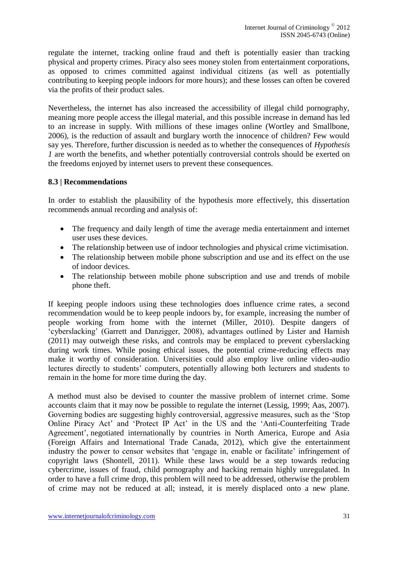regulate the internet, tracking online fraud and theft is potentially easier than tracking physical and property crimes. Piracy also sees money stolen from entertainment corporations, as opposed to crimes committed against individual citizens (as well as potentially contributing to keeping people indoors for more hours); and these losses can often be covered via the profits of their product sales.

Nevertheless, the internet has also increased the accessibility of illegal child pornography, meaning more people access the illegal material, and this possible increase in demand has led to an increase in supply. With millions of these images online (Wortley and Smallbone, 2006), is the reduction of assault and burglary worth the innocence of children? Few would say yes. Therefore, further discussion is needed as to whether the consequences of *Hypothesis 1* are worth the benefits, and whether potentially controversial controls should be exerted on the freedoms enjoyed by internet users to prevent these consequences.

### **8.3 | Recommendations**

In order to establish the plausibility of the hypothesis more effectively, this dissertation recommends annual recording and analysis of:

- The frequency and daily length of time the average media entertainment and internet user uses these devices.
- The relationship between use of indoor technologies and physical crime victimisation.
- The relationship between mobile phone subscription and use and its effect on the use of indoor devices.
- The relationship between mobile phone subscription and use and trends of mobile phone theft.

If keeping people indoors using these technologies does influence crime rates, a second recommendation would be to keep people indoors by, for example, increasing the number of people working from home with the internet (Miller, 2010). Despite dangers of 'cyberslacking' (Garrett and Danzigger, 2008), advantages outlined by Lister and Harnish (2011) may outweigh these risks, and controls may be emplaced to prevent cyberslacking during work times. While posing ethical issues, the potential crime-reducing effects may make it worthy of consideration. Universities could also employ live online video-audio lectures directly to students' computers, potentially allowing both lecturers and students to remain in the home for more time during the day.

A method must also be devised to counter the massive problem of internet crime. Some accounts claim that it may now be possible to regulate the internet (Lessig, 1999; Aas, 2007). Governing bodies are suggesting highly controversial, aggressive measures, such as the 'Stop Online Piracy Act' and 'Protect IP Act' in the US and the 'Anti-Counterfeiting Trade Agreement', negotiated internationally by countries in North America, Europe and Asia (Foreign Affairs and International Trade Canada, 2012), which give the entertainment industry the power to censor websites that 'engage in, enable or facilitate' infringement of copyright laws (Shontell, 2011). While these laws would be a step towards reducing cybercrime, issues of fraud, child pornography and hacking remain highly unregulated. In order to have a full crime drop, this problem will need to be addressed, otherwise the problem of crime may not be reduced at all; instead, it is merely displaced onto a new plane.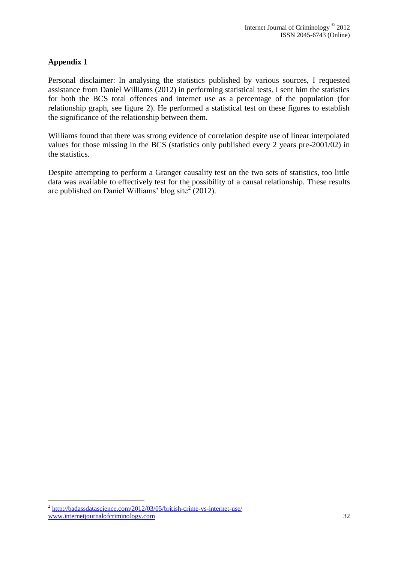## **Appendix 1**

Personal disclaimer: In analysing the statistics published by various sources, I requested assistance from Daniel Williams (2012) in performing statistical tests. I sent him the statistics for both the BCS total offences and internet use as a percentage of the population (for relationship graph, see figure 2). He performed a statistical test on these figures to establish the significance of the relationship between them.

Williams found that there was strong evidence of correlation despite use of linear interpolated values for those missing in the BCS (statistics only published every 2 years pre-2001/02) in the statistics.

Despite attempting to perform a Granger causality test on the two sets of statistics, too little data was available to effectively test for the possibility of a causal relationship. These results are published on Daniel Williams' blog site<sup>2</sup> (2012).

1

www.internetjournalofcriminology.com 32 <sup>2</sup> <http://badassdatascience.com/2012/03/05/british-crime-vs-internet-use/>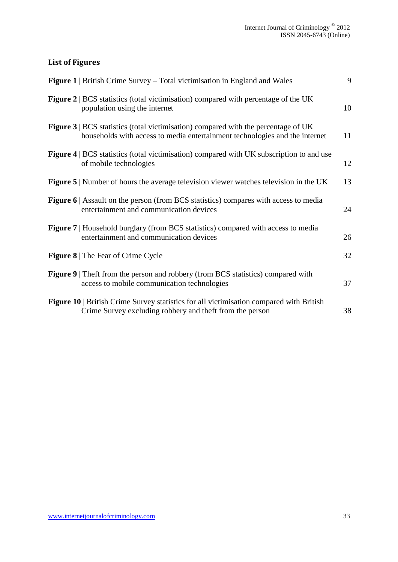# **List of Figures**

| <b>Figure 1</b>   British Crime Survey – Total victimisation in England and Wales                                                                                        | 9  |
|--------------------------------------------------------------------------------------------------------------------------------------------------------------------------|----|
| Figure 2   BCS statistics (total victimisation) compared with percentage of the UK<br>population using the internet                                                      | 10 |
| <b>Figure 3</b>   BCS statistics (total victimisation) compared with the percentage of UK<br>households with access to media entertainment technologies and the internet | 11 |
| <b>Figure 4</b>   BCS statistics (total victimisation) compared with UK subscription to and use<br>of mobile technologies                                                | 12 |
| <b>Figure 5</b>   Number of hours the average television viewer watches television in the UK                                                                             | 13 |
| <b>Figure 6</b>   Assault on the person (from BCS statistics) compares with access to media<br>entertainment and communication devices                                   | 24 |
| <b>Figure 7</b>   Household burglary (from BCS statistics) compared with access to media<br>entertainment and communication devices                                      | 26 |
| <b>Figure 8</b>   The Fear of Crime Cycle                                                                                                                                | 32 |
| <b>Figure 9</b> Theft from the person and robbery (from BCS statistics) compared with<br>access to mobile communication technologies                                     | 37 |
| Figure 10   British Crime Survey statistics for all victimisation compared with British<br>Crime Survey excluding robbery and theft from the person                      | 38 |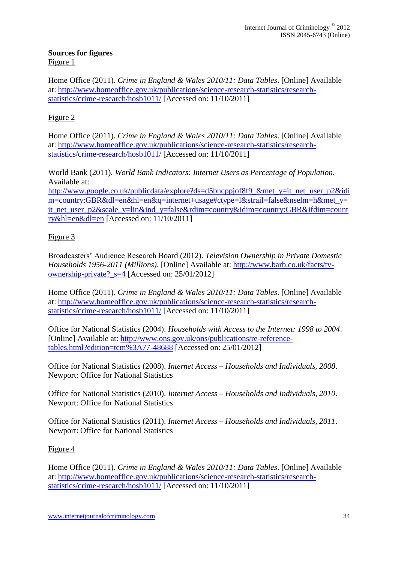#### **Sources for figures** Figure 1

Home Office (2011). *Crime in England & Wales 2010/11: Data Tables*. [Online] Available at: [http://www.homeoffice.gov.uk/publications/science-research-statistics/research](http://www.homeoffice.gov.uk/publications/science-research-statistics/research-statistics/crime-research/hosb1011/)[statistics/crime-research/hosb1011/](http://www.homeoffice.gov.uk/publications/science-research-statistics/research-statistics/crime-research/hosb1011/) [Accessed on: 11/10/2011]

# Figure 2

Home Office (2011). *Crime in England & Wales 2010/11: Data Tables*. [Online] Available at: [http://www.homeoffice.gov.uk/publications/science-research-statistics/research](http://www.homeoffice.gov.uk/publications/science-research-statistics/research-statistics/crime-research/hosb1011/)[statistics/crime-research/hosb1011/](http://www.homeoffice.gov.uk/publications/science-research-statistics/research-statistics/crime-research/hosb1011/) [Accessed on: 11/10/2011]

World Bank (2011). *World Bank Indicators: Internet Users as Percentage of Population.* Available at:

[http://www.google.co.uk/publicdata/explore?ds=d5bncppjof8f9\\_&met\\_y=it\\_net\\_user\\_p2&idi](http://www.google.co.uk/publicdata/explore?ds=d5bncppjof8f9_&met_y=it_net_user_p2&idim=country:GBR&dl=en&hl=en&q=internet+usage#ctype=l&strail=false&nselm=h&met_y=it_net_user_p2&scale_y=lin&ind_y=false&rdim=country&idim=country:GBR&ifdim=country&hl=en&dl=en) [m=country:GBR&dl=en&hl=en&q=internet+usage#ctype=l&strail=false&nselm=h&met\\_y=](http://www.google.co.uk/publicdata/explore?ds=d5bncppjof8f9_&met_y=it_net_user_p2&idim=country:GBR&dl=en&hl=en&q=internet+usage#ctype=l&strail=false&nselm=h&met_y=it_net_user_p2&scale_y=lin&ind_y=false&rdim=country&idim=country:GBR&ifdim=country&hl=en&dl=en) it net user p2&scale y=lin&ind y=false&rdim=country&idim=country:GBR&ifdim=count [ry&hl=en&dl=en](http://www.google.co.uk/publicdata/explore?ds=d5bncppjof8f9_&met_y=it_net_user_p2&idim=country:GBR&dl=en&hl=en&q=internet+usage#ctype=l&strail=false&nselm=h&met_y=it_net_user_p2&scale_y=lin&ind_y=false&rdim=country&idim=country:GBR&ifdim=country&hl=en&dl=en) [Accessed on: 11/10/2011]

# Figure 3

Broadcasters' Audience Research Board (2012). *Television Ownership in Private Domestic Households 1956-2011 (Millions)*. [Online] Available at: [http://www.barb.co.uk/facts/tv](http://www.barb.co.uk/facts/tv-ownership-private?_s=4)[ownership-private?\\_s=4](http://www.barb.co.uk/facts/tv-ownership-private?_s=4) [Accessed on: 25/01/2012]

Home Office (2011). *Crime in England & Wales 2010/11: Data Tables*. [Online] Available at: [http://www.homeoffice.gov.uk/publications/science-research-statistics/research](http://www.homeoffice.gov.uk/publications/science-research-statistics/research-statistics/crime-research/hosb1011/)[statistics/crime-research/hosb1011/](http://www.homeoffice.gov.uk/publications/science-research-statistics/research-statistics/crime-research/hosb1011/) [Accessed on: 11/10/2011]

Office for National Statistics (2004). *Households with Access to the Internet: 1998 to 2004*. [Online] Available at: [http://www.ons.gov.uk/ons/publications/re-reference](http://www.ons.gov.uk/ons/publications/re-reference-tables.html?edition=tcm%3A77-48688)[tables.html?edition=tcm%3A77-48688](http://www.ons.gov.uk/ons/publications/re-reference-tables.html?edition=tcm%3A77-48688) [Accessed on: 25/01/2012]

Office for National Statistics (2008). *Internet Access – Households and Individuals, 2008*. Newport: Office for National Statistics

Office for National Statistics (2010). *Internet Access – Households and Individuals, 2010*. Newport: Office for National Statistics

Office for National Statistics (2011). *Internet Access – Households and Individuals, 2011*. Newport: Office for National Statistics

## Figure 4

Home Office (2011). *Crime in England & Wales 2010/11: Data Tables*. [Online] Available at: [http://www.homeoffice.gov.uk/publications/science-research-statistics/research](http://www.homeoffice.gov.uk/publications/science-research-statistics/research-statistics/crime-research/hosb1011/)[statistics/crime-research/hosb1011/](http://www.homeoffice.gov.uk/publications/science-research-statistics/research-statistics/crime-research/hosb1011/) [Accessed on: 11/10/2011]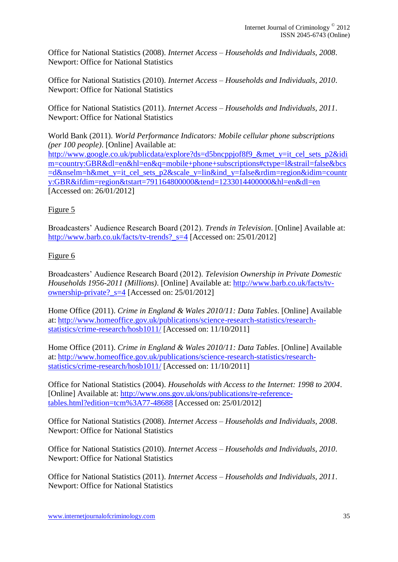Office for National Statistics (2008). *Internet Access – Households and Individuals, 2008*. Newport: Office for National Statistics

Office for National Statistics (2010). *Internet Access – Households and Individuals, 2010*. Newport: Office for National Statistics

Office for National Statistics (2011). *Internet Access – Households and Individuals, 2011*. Newport: Office for National Statistics

World Bank (2011). *World Performance Indicators: Mobile cellular phone subscriptions (per 100 people)*. [Online] Available at: [http://www.google.co.uk/publicdata/explore?ds=d5bncppjof8f9\\_&met\\_y=it\\_cel\\_sets\\_p2&idi](http://www.google.co.uk/publicdata/explore?ds=d5bncppjof8f9_&met_y=it_cel_sets_p2&idim=country:GBR&dl=en&hl=en&q=mobile+phone+subscriptions#ctype=l&strail=false&bcs=d&nselm=h&met_y=it_cel_sets_p2&scale_y=lin&ind_y=false&rdim=region&idim=country:GBR&ifdim=region&tstart=791164800000&tend=1233014400000&hl=en&dl=en) [m=country:GBR&dl=en&hl=en&q=mobile+phone+subscriptions#ctype=l&strail=false&bcs](http://www.google.co.uk/publicdata/explore?ds=d5bncppjof8f9_&met_y=it_cel_sets_p2&idim=country:GBR&dl=en&hl=en&q=mobile+phone+subscriptions#ctype=l&strail=false&bcs=d&nselm=h&met_y=it_cel_sets_p2&scale_y=lin&ind_y=false&rdim=region&idim=country:GBR&ifdim=region&tstart=791164800000&tend=1233014400000&hl=en&dl=en) [=d&nselm=h&met\\_y=it\\_cel\\_sets\\_p2&scale\\_y=lin&ind\\_y=false&rdim=region&idim=countr](http://www.google.co.uk/publicdata/explore?ds=d5bncppjof8f9_&met_y=it_cel_sets_p2&idim=country:GBR&dl=en&hl=en&q=mobile+phone+subscriptions#ctype=l&strail=false&bcs=d&nselm=h&met_y=it_cel_sets_p2&scale_y=lin&ind_y=false&rdim=region&idim=country:GBR&ifdim=region&tstart=791164800000&tend=1233014400000&hl=en&dl=en) [y:GBR&ifdim=region&tstart=791164800000&tend=1233014400000&hl=en&dl=en](http://www.google.co.uk/publicdata/explore?ds=d5bncppjof8f9_&met_y=it_cel_sets_p2&idim=country:GBR&dl=en&hl=en&q=mobile+phone+subscriptions#ctype=l&strail=false&bcs=d&nselm=h&met_y=it_cel_sets_p2&scale_y=lin&ind_y=false&rdim=region&idim=country:GBR&ifdim=region&tstart=791164800000&tend=1233014400000&hl=en&dl=en) [Accessed on: 26/01/2012]

# Figure 5

Broadcasters' Audience Research Board (2012). *Trends in Television*. [Online] Available at: [http://www.barb.co.uk/facts/tv-trends?\\_s=4](http://www.barb.co.uk/facts/tv-trends?_s=4) [Accessed on: 25/01/2012]

## Figure 6

Broadcasters' Audience Research Board (2012). *Television Ownership in Private Domestic Households 1956-2011 (Millions)*. [Online] Available at: [http://www.barb.co.uk/facts/tv](http://www.barb.co.uk/facts/tv-ownership-private?_s=4)[ownership-private?\\_s=4](http://www.barb.co.uk/facts/tv-ownership-private?_s=4) [Accessed on: 25/01/2012]

Home Office (2011). *Crime in England & Wales 2010/11: Data Tables*. [Online] Available at: [http://www.homeoffice.gov.uk/publications/science-research-statistics/research](http://www.homeoffice.gov.uk/publications/science-research-statistics/research-statistics/crime-research/hosb1011/)[statistics/crime-research/hosb1011/](http://www.homeoffice.gov.uk/publications/science-research-statistics/research-statistics/crime-research/hosb1011/) [Accessed on: 11/10/2011]

Home Office (2011). *Crime in England & Wales 2010/11: Data Tables*. [Online] Available at: [http://www.homeoffice.gov.uk/publications/science-research-statistics/research](http://www.homeoffice.gov.uk/publications/science-research-statistics/research-statistics/crime-research/hosb1011/)[statistics/crime-research/hosb1011/](http://www.homeoffice.gov.uk/publications/science-research-statistics/research-statistics/crime-research/hosb1011/) [Accessed on: 11/10/2011]

Office for National Statistics (2004). *Households with Access to the Internet: 1998 to 2004*. [Online] Available at: [http://www.ons.gov.uk/ons/publications/re-reference](http://www.ons.gov.uk/ons/publications/re-reference-tables.html?edition=tcm%3A77-48688)[tables.html?edition=tcm%3A77-48688](http://www.ons.gov.uk/ons/publications/re-reference-tables.html?edition=tcm%3A77-48688) [Accessed on: 25/01/2012]

Office for National Statistics (2008). *Internet Access – Households and Individuals, 2008*. Newport: Office for National Statistics

Office for National Statistics (2010). *Internet Access – Households and Individuals, 2010*. Newport: Office for National Statistics

Office for National Statistics (2011). *Internet Access – Households and Individuals, 2011*. Newport: Office for National Statistics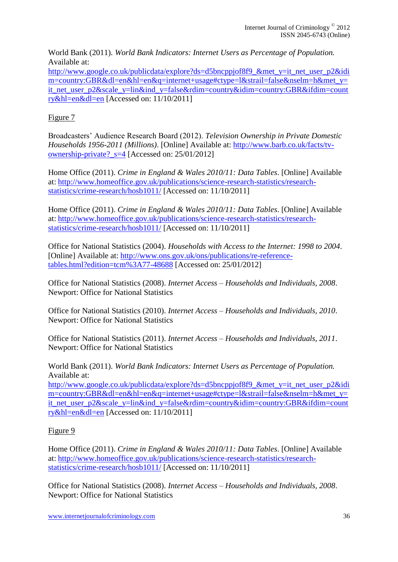World Bank (2011). *World Bank Indicators: Internet Users as Percentage of Population.* Available at:

[http://www.google.co.uk/publicdata/explore?ds=d5bncppjof8f9\\_&met\\_y=it\\_net\\_user\\_p2&idi](http://www.google.co.uk/publicdata/explore?ds=d5bncppjof8f9_&met_y=it_net_user_p2&idim=country:GBR&dl=en&hl=en&q=internet+usage#ctype=l&strail=false&nselm=h&met_y=it_net_user_p2&scale_y=lin&ind_y=false&rdim=country&idim=country:GBR&ifdim=country&hl=en&dl=en) [m=country:GBR&dl=en&hl=en&q=internet+usage#ctype=l&strail=false&nselm=h&met\\_y=](http://www.google.co.uk/publicdata/explore?ds=d5bncppjof8f9_&met_y=it_net_user_p2&idim=country:GBR&dl=en&hl=en&q=internet+usage#ctype=l&strail=false&nselm=h&met_y=it_net_user_p2&scale_y=lin&ind_y=false&rdim=country&idim=country:GBR&ifdim=country&hl=en&dl=en) it net user p2&scale y=lin&ind y=false&rdim=country&idim=country:GBR&ifdim=count [ry&hl=en&dl=en](http://www.google.co.uk/publicdata/explore?ds=d5bncppjof8f9_&met_y=it_net_user_p2&idim=country:GBR&dl=en&hl=en&q=internet+usage#ctype=l&strail=false&nselm=h&met_y=it_net_user_p2&scale_y=lin&ind_y=false&rdim=country&idim=country:GBR&ifdim=country&hl=en&dl=en) [Accessed on: 11/10/2011]

## Figure 7

Broadcasters' Audience Research Board (2012). *Television Ownership in Private Domestic Households 1956-2011 (Millions)*. [Online] Available at: [http://www.barb.co.uk/facts/tv](http://www.barb.co.uk/facts/tv-ownership-private?_s=4)[ownership-private?\\_s=4](http://www.barb.co.uk/facts/tv-ownership-private?_s=4) [Accessed on: 25/01/2012]

Home Office (2011). *Crime in England & Wales 2010/11: Data Tables*. [Online] Available at: [http://www.homeoffice.gov.uk/publications/science-research-statistics/research](http://www.homeoffice.gov.uk/publications/science-research-statistics/research-statistics/crime-research/hosb1011/)[statistics/crime-research/hosb1011/](http://www.homeoffice.gov.uk/publications/science-research-statistics/research-statistics/crime-research/hosb1011/) [Accessed on: 11/10/2011]

Home Office (2011). *Crime in England & Wales 2010/11: Data Tables*. [Online] Available at: [http://www.homeoffice.gov.uk/publications/science-research-statistics/research](http://www.homeoffice.gov.uk/publications/science-research-statistics/research-statistics/crime-research/hosb1011/)[statistics/crime-research/hosb1011/](http://www.homeoffice.gov.uk/publications/science-research-statistics/research-statistics/crime-research/hosb1011/) [Accessed on: 11/10/2011]

Office for National Statistics (2004). *Households with Access to the Internet: 1998 to 2004*. [Online] Available at: [http://www.ons.gov.uk/ons/publications/re-reference](http://www.ons.gov.uk/ons/publications/re-reference-tables.html?edition=tcm%3A77-48688)[tables.html?edition=tcm%3A77-48688](http://www.ons.gov.uk/ons/publications/re-reference-tables.html?edition=tcm%3A77-48688) [Accessed on: 25/01/2012]

Office for National Statistics (2008). *Internet Access – Households and Individuals, 2008*. Newport: Office for National Statistics

Office for National Statistics (2010). *Internet Access – Households and Individuals, 2010*. Newport: Office for National Statistics

Office for National Statistics (2011). *Internet Access – Households and Individuals, 2011*. Newport: Office for National Statistics

World Bank (2011). *World Bank Indicators: Internet Users as Percentage of Population.* Available at:

[http://www.google.co.uk/publicdata/explore?ds=d5bncppjof8f9\\_&met\\_y=it\\_net\\_user\\_p2&idi](http://www.google.co.uk/publicdata/explore?ds=d5bncppjof8f9_&met_y=it_net_user_p2&idim=country:GBR&dl=en&hl=en&q=internet+usage#ctype=l&strail=false&nselm=h&met_y=it_net_user_p2&scale_y=lin&ind_y=false&rdim=country&idim=country:GBR&ifdim=country&hl=en&dl=en) [m=country:GBR&dl=en&hl=en&q=internet+usage#ctype=l&strail=false&nselm=h&met\\_y=](http://www.google.co.uk/publicdata/explore?ds=d5bncppjof8f9_&met_y=it_net_user_p2&idim=country:GBR&dl=en&hl=en&q=internet+usage#ctype=l&strail=false&nselm=h&met_y=it_net_user_p2&scale_y=lin&ind_y=false&rdim=country&idim=country:GBR&ifdim=country&hl=en&dl=en) [it\\_net\\_user\\_p2&scale\\_y=lin&ind\\_y=false&rdim=country&idim=country:GBR&ifdim=count](http://www.google.co.uk/publicdata/explore?ds=d5bncppjof8f9_&met_y=it_net_user_p2&idim=country:GBR&dl=en&hl=en&q=internet+usage#ctype=l&strail=false&nselm=h&met_y=it_net_user_p2&scale_y=lin&ind_y=false&rdim=country&idim=country:GBR&ifdim=country&hl=en&dl=en) [ry&hl=en&dl=en](http://www.google.co.uk/publicdata/explore?ds=d5bncppjof8f9_&met_y=it_net_user_p2&idim=country:GBR&dl=en&hl=en&q=internet+usage#ctype=l&strail=false&nselm=h&met_y=it_net_user_p2&scale_y=lin&ind_y=false&rdim=country&idim=country:GBR&ifdim=country&hl=en&dl=en) [Accessed on: 11/10/2011]

## Figure 9

Home Office (2011). *Crime in England & Wales 2010/11: Data Tables*. [Online] Available at: [http://www.homeoffice.gov.uk/publications/science-research-statistics/research](http://www.homeoffice.gov.uk/publications/science-research-statistics/research-statistics/crime-research/hosb1011/)[statistics/crime-research/hosb1011/](http://www.homeoffice.gov.uk/publications/science-research-statistics/research-statistics/crime-research/hosb1011/) [Accessed on: 11/10/2011]

Office for National Statistics (2008). *Internet Access – Households and Individuals, 2008*. Newport: Office for National Statistics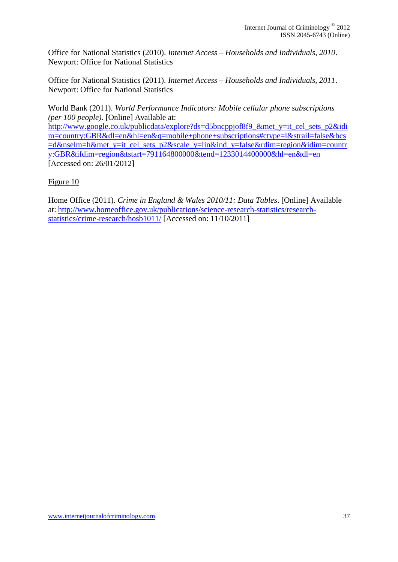Office for National Statistics (2010). *Internet Access – Households and Individuals, 2010*. Newport: Office for National Statistics

Office for National Statistics (2011). *Internet Access – Households and Individuals, 2011*. Newport: Office for National Statistics

World Bank (2011). *World Performance Indicators: Mobile cellular phone subscriptions (per 100 people)*. [Online] Available at:

[http://www.google.co.uk/publicdata/explore?ds=d5bncppjof8f9\\_&met\\_y=it\\_cel\\_sets\\_p2&idi](http://www.google.co.uk/publicdata/explore?ds=d5bncppjof8f9_&met_y=it_cel_sets_p2&idim=country:GBR&dl=en&hl=en&q=mobile+phone+subscriptions#ctype=l&strail=false&bcs=d&nselm=h&met_y=it_cel_sets_p2&scale_y=lin&ind_y=false&rdim=region&idim=country:GBR&ifdim=region&tstart=791164800000&tend=1233014400000&hl=en&dl=en) [m=country:GBR&dl=en&hl=en&q=mobile+phone+subscriptions#ctype=l&strail=false&bcs](http://www.google.co.uk/publicdata/explore?ds=d5bncppjof8f9_&met_y=it_cel_sets_p2&idim=country:GBR&dl=en&hl=en&q=mobile+phone+subscriptions#ctype=l&strail=false&bcs=d&nselm=h&met_y=it_cel_sets_p2&scale_y=lin&ind_y=false&rdim=region&idim=country:GBR&ifdim=region&tstart=791164800000&tend=1233014400000&hl=en&dl=en) [=d&nselm=h&met\\_y=it\\_cel\\_sets\\_p2&scale\\_y=lin&ind\\_y=false&rdim=region&idim=countr](http://www.google.co.uk/publicdata/explore?ds=d5bncppjof8f9_&met_y=it_cel_sets_p2&idim=country:GBR&dl=en&hl=en&q=mobile+phone+subscriptions#ctype=l&strail=false&bcs=d&nselm=h&met_y=it_cel_sets_p2&scale_y=lin&ind_y=false&rdim=region&idim=country:GBR&ifdim=region&tstart=791164800000&tend=1233014400000&hl=en&dl=en) [y:GBR&ifdim=region&tstart=791164800000&tend=1233014400000&hl=en&dl=en](http://www.google.co.uk/publicdata/explore?ds=d5bncppjof8f9_&met_y=it_cel_sets_p2&idim=country:GBR&dl=en&hl=en&q=mobile+phone+subscriptions#ctype=l&strail=false&bcs=d&nselm=h&met_y=it_cel_sets_p2&scale_y=lin&ind_y=false&rdim=region&idim=country:GBR&ifdim=region&tstart=791164800000&tend=1233014400000&hl=en&dl=en) [Accessed on: 26/01/2012]

### Figure 10

Home Office (2011). *Crime in England & Wales 2010/11: Data Tables*. [Online] Available at: [http://www.homeoffice.gov.uk/publications/science-research-statistics/research](http://www.homeoffice.gov.uk/publications/science-research-statistics/research-statistics/crime-research/hosb1011/)[statistics/crime-research/hosb1011/](http://www.homeoffice.gov.uk/publications/science-research-statistics/research-statistics/crime-research/hosb1011/) [Accessed on: 11/10/2011]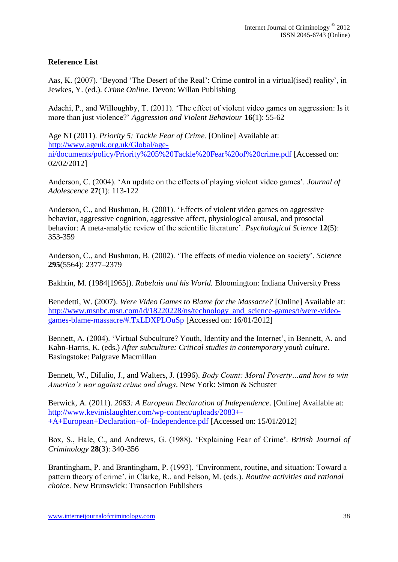## **Reference List**

Aas, K. (2007). 'Beyond 'The Desert of the Real': Crime control in a virtual(ised) reality', in Jewkes, Y. (ed.). *Crime Online*. Devon: Willan Publishing

Adachi, P., and Willoughby, T. (2011). 'The effect of violent video games on aggression: Is it more than just violence?' *Aggression and Violent Behaviour* **16**(1): 55-62

Age NI (2011). *Priority 5: Tackle Fear of Crime*. [Online] Available at: [http://www.ageuk.org.uk/Global/age](http://www.ageuk.org.uk/Global/age-ni/documents/policy/Priority%205%20Tackle%20Fear%20of%20crime.pdf)[ni/documents/policy/Priority%205%20Tackle%20Fear%20of%20crime.pdf](http://www.ageuk.org.uk/Global/age-ni/documents/policy/Priority%205%20Tackle%20Fear%20of%20crime.pdf) [Accessed on: 02/02/2012]

Anderson, C. (2004). 'An update on the effects of playing violent video games'. *Journal of Adolescence* **27**(1): 113-122

Anderson, C., and Bushman, B. (2001). 'Effects of violent video games on aggressive behavior, aggressive cognition, aggressive affect, physiological arousal, and prosocial behavior: A meta-analytic review of the scientific literature'. *Psychological Science* **12**(5): 353-359

Anderson, C., and Bushman, B. (2002). 'The effects of media violence on society'. *Science* **295**(5564): 2377–2379

Bakhtin, M. (1984[1965]). *Rabelais and his World.* Bloomington: Indiana University Press

Benedetti, W. (2007). *Were Video Games to Blame for the Massacre?* [Online] Available at: [http://www.msnbc.msn.com/id/18220228/ns/technology\\_and\\_science-games/t/were-video](http://www.msnbc.msn.com/id/18220228/ns/technology_and_science-games/t/were-video-games-blame-massacre/#.TxLDXPLOuSp)[games-blame-massacre/#.TxLDXPLOuSp](http://www.msnbc.msn.com/id/18220228/ns/technology_and_science-games/t/were-video-games-blame-massacre/#.TxLDXPLOuSp) [Accessed on: 16/01/2012]

Bennett, A. (2004). 'Virtual Subculture? Youth, Identity and the Internet', in Bennett, A. and Kahn-Harris, K. (eds.) *After subculture: Critical studies in contemporary youth culture*. Basingstoke: Palgrave Macmillan

Bennett, W., DiIulio, J., and Walters, J. (1996). *Body Count: Moral Poverty…and how to win America's war against crime and drugs*. New York: Simon & Schuster

Berwick, A. (2011). *2083: A European Declaration of Independence*. [Online] Available at: [http://www.kevinislaughter.com/wp-content/uploads/2083+-](http://www.kevinislaughter.com/wp-content/uploads/2083+-+A+European+Declaration+of+Independence.pdf) [+A+European+Declaration+of+Independence.pdf](http://www.kevinislaughter.com/wp-content/uploads/2083+-+A+European+Declaration+of+Independence.pdf) [Accessed on: 15/01/2012]

Box, S., Hale, C., and Andrews, G. (1988). 'Explaining Fear of Crime'. *British Journal of Criminology* **28**(3): 340-356

Brantingham, P. and Brantingham, P. (1993). 'Environment, routine, and situation: Toward a pattern theory of crime', in Clarke, R., and Felson, M. (eds.). *Routine activities and rational choice*. New Brunswick: Transaction Publishers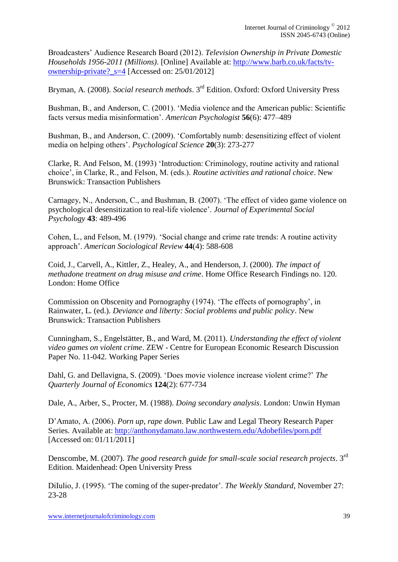Broadcasters' Audience Research Board (2012). *Television Ownership in Private Domestic Households 1956-2011 (Millions)*. [Online] Available at: [http://www.barb.co.uk/facts/tv](http://www.barb.co.uk/facts/tv-ownership-private?_s=4)[ownership-private?\\_s=4](http://www.barb.co.uk/facts/tv-ownership-private?_s=4) [Accessed on: 25/01/2012]

Bryman, A. (2008). *Social research methods*. 3rd Edition. Oxford: Oxford University Press

Bushman, B., and Anderson, C. (2001). 'Media violence and the American public: Scientific facts versus media misinformation'. *American Psychologist* **56**(6): 477–489

Bushman, B., and Anderson, C. (2009). 'Comfortably numb: desensitizing effect of violent media on helping others'. *Psychological Science* **20**(3): 273-277

Clarke, R. And Felson, M. (1993) 'Introduction: Criminology, routine activity and rational choice', in Clarke, R., and Felson, M. (eds.). *Routine activities and rational choice*. New Brunswick: Transaction Publishers

Carnagey, N., Anderson, C., and Bushman, B. (2007). 'The effect of video game violence on psychological desensitization to real-life violence'. *Journal of Experimental Social Psychology* **43**: 489-496

Cohen, L., and Felson, M. (1979). 'Social change and crime rate trends: A routine activity approach'. *American Sociological Review* **44**(4): 588-608

Coid, J., Carvell, A., Kittler, Z., Healey, A., and Henderson, J. (2000). *The impact of methadone treatment on drug misuse and crime*. Home Office Research Findings no. 120. London: Home Office

Commission on Obscenity and Pornography (1974). 'The effects of pornography', in Rainwater, L. (ed.). *Deviance and liberty: Social problems and public policy*. New Brunswick: Transaction Publishers

Cunningham, S., Engelstätter, B., and Ward, M. (2011). *Understanding the effect of violent video games on violent crime*. ZEW - Centre for European Economic Research Discussion Paper No. 11-042. Working Paper Series

Dahl, G. and Dellavigna, S. (2009). 'Does movie violence increase violent crime?' *The Quarterly Journal of Economics* **124**(2): 677-734

Dale, A., Arber, S., Procter, M. (1988). *Doing secondary analysis*. London: Unwin Hyman

D'Amato, A. (2006). *Porn up, rape down*. Public Law and Legal Theory Research Paper Series. Available at:<http://anthonydamato.law.northwestern.edu/Adobefiles/porn.pdf> [Accessed on: 01/11/2011]

Denscombe, M. (2007). *The good research guide for small-scale social research projects*. 3rd Edition. Maidenhead: Open University Press

DiIulio, J. (1995). 'The coming of the super-predator'. *The Weekly Standard*, November 27: 23-28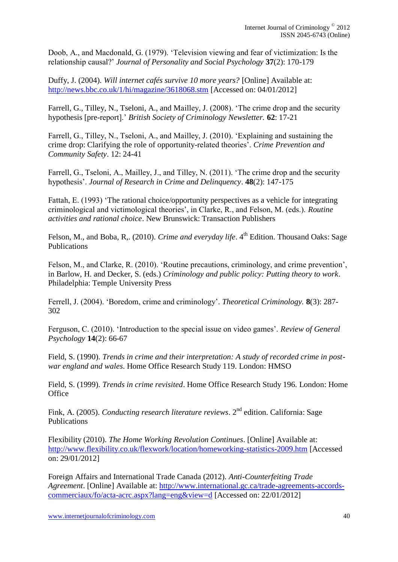Doob, A., and Macdonald, G. (1979). 'Television viewing and fear of victimization: Is the relationship causal?' *Journal of Personality and Social Psychology* **37**(2): 170-179

Duffy, J. (2004). *Will internet cafés survive 10 more years?* [Online] Available at: <http://news.bbc.co.uk/1/hi/magazine/3618068.stm> [Accessed on: 04/01/2012]

Farrell, G., Tilley, N., Tseloni, A., and Mailley, J. (2008). 'The crime drop and the security hypothesis [pre-report].' *British Society of Criminology Newsletter.* **62**: 17-21

Farrell, G., Tilley, N., Tseloni, A., and Mailley, J. (2010). 'Explaining and sustaining the crime drop: Clarifying the role of opportunity-related theories'. *Crime Prevention and Community Safety*. 12: 24-41

Farrell, G., Tseloni, A., Mailley, J., and Tilley, N. (2011). 'The crime drop and the security hypothesis'. *Journal of Research in Crime and Delinquency*. **48**(2): 147-175

Fattah, E. (1993) 'The rational choice/opportunity perspectives as a vehicle for integrating criminological and victimological theories', in Clarke, R., and Felson, M. (eds.). *Routine activities and rational choice*. New Brunswick: Transaction Publishers

Felson, M., and Boba, R., (2010). *Crime and everyday life*. 4<sup>th</sup> Edition. Thousand Oaks: Sage Publications

Felson, M., and Clarke, R. (2010). 'Routine precautions, criminology, and crime prevention', in Barlow, H. and Decker, S. (eds.) *Criminology and public policy: Putting theory to work*. Philadelphia: Temple University Press

Ferrell, J. (2004). 'Boredom, crime and criminology'. *Theoretical Criminology.* **8**(3): 287- 302

Ferguson, C. (2010). 'Introduction to the special issue on video games'. *Review of General Psychology* **14**(2): 66-67

Field, S. (1990). *Trends in crime and their interpretation: A study of recorded crime in postwar england and wales*. Home Office Research Study 119. London: HMSO

Field, S. (1999). *Trends in crime revisited*. Home Office Research Study 196. London: Home **Office** 

Fink, A. (2005). *Conducting research literature reviews*. 2nd edition. California: Sage Publications

Flexibility (2010). *The Home Working Revolution Continues*. [Online] Available at: <http://www.flexibility.co.uk/flexwork/location/homeworking-statistics-2009.htm> [Accessed on: 29/01/2012]

Foreign Affairs and International Trade Canada (2012). *Anti-Counterfeiting Trade Agreement*. [Online] Available at: [http://www.international.gc.ca/trade-agreements-accords](http://www.international.gc.ca/trade-agreements-accords-commerciaux/fo/acta-acrc.aspx?lang=eng&view=d)[commerciaux/fo/acta-acrc.aspx?lang=eng&view=d](http://www.international.gc.ca/trade-agreements-accords-commerciaux/fo/acta-acrc.aspx?lang=eng&view=d) [Accessed on: 22/01/2012]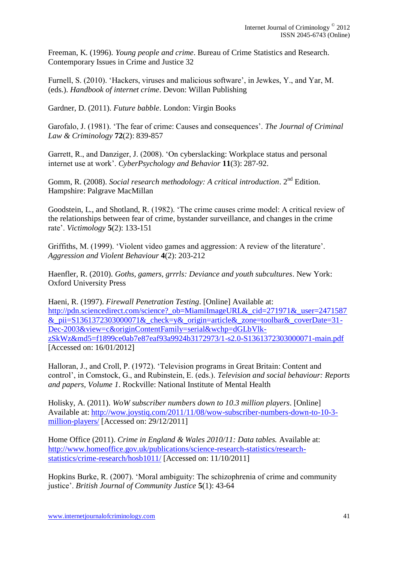Freeman, K. (1996). *Young people and crime*. Bureau of Crime Statistics and Research. Contemporary Issues in Crime and Justice 32

Furnell, S. (2010). 'Hackers, viruses and malicious software', in Jewkes, Y., and Yar, M. (eds.). *Handbook of internet crime*. Devon: Willan Publishing

Gardner, D. (2011). *Future babble*. London: Virgin Books

Garofalo, J. (1981). 'The fear of crime: Causes and consequences'. *The Journal of Criminal Law & Criminology* **72**(2): 839-857

Garrett, R., and Danziger, J. (2008). 'On cyberslacking: Workplace status and personal internet use at work'. *CyberPsychology and Behavior* **11**(3): 287-92.

Gomm, R. (2008). *Social research methodology: A critical introduction*. 2<sup>nd</sup> Edition. Hampshire: Palgrave MacMillan

Goodstein, L., and Shotland, R. (1982). 'The crime causes crime model: A critical review of the relationships between fear of crime, bystander surveillance, and changes in the crime rate'. *Victimology* **5**(2): 133-151

Griffiths, M. (1999). 'Violent video games and aggression: A review of the literature'. *Aggression and Violent Behaviour* **4**(2): 203-212

Haenfler, R. (2010). *Goths, gamers, grrrls: Deviance and youth subcultures*. New York: Oxford University Press

Haeni, R. (1997). *Firewall Penetration Testing*. [Online] Available at: [http://pdn.sciencedirect.com/science?\\_ob=MiamiImageURL&\\_cid=271971&\\_user=2471587](http://pdn.sciencedirect.com/science?_ob=MiamiImageURL&_cid=271971&_user=2471587&_pii=S1361372303000071&_check=y&_origin=article&_zone=toolbar&_coverDate=31-Dec-2003&view=c&originContentFamily=serial&wchp=dGLbVlk-zSkWz&md5=f1899ce0ab7e87eaf93a9924b3172973/1-s2.0-S1361372303000071-main.pdf) & pii=S1361372303000071& check=y& origin=article& zone=toolbar& coverDate=31-[Dec-2003&view=c&originContentFamily=serial&wchp=dGLbVlk](http://pdn.sciencedirect.com/science?_ob=MiamiImageURL&_cid=271971&_user=2471587&_pii=S1361372303000071&_check=y&_origin=article&_zone=toolbar&_coverDate=31-Dec-2003&view=c&originContentFamily=serial&wchp=dGLbVlk-zSkWz&md5=f1899ce0ab7e87eaf93a9924b3172973/1-s2.0-S1361372303000071-main.pdf)[zSkWz&md5=f1899ce0ab7e87eaf93a9924b3172973/1-s2.0-S1361372303000071-main.pdf](http://pdn.sciencedirect.com/science?_ob=MiamiImageURL&_cid=271971&_user=2471587&_pii=S1361372303000071&_check=y&_origin=article&_zone=toolbar&_coverDate=31-Dec-2003&view=c&originContentFamily=serial&wchp=dGLbVlk-zSkWz&md5=f1899ce0ab7e87eaf93a9924b3172973/1-s2.0-S1361372303000071-main.pdf) [Accessed on: 16/01/2012]

Halloran, J., and Croll, P. (1972). 'Television programs in Great Britain: Content and control', in Comstock, G., and Rubinstein, E. (eds.). *Television and social behaviour: Reports and papers, Volume 1*. Rockville: National Institute of Mental Health

Holisky, A. (2011). *WoW subscriber numbers down to 10.3 million players*. [Online] Available at: [http://wow.joystiq.com/2011/11/08/wow-subscriber-numbers-down-to-10-3](http://wow.joystiq.com/2011/11/08/wow-subscriber-numbers-down-to-10-3-million-players/) [million-players/](http://wow.joystiq.com/2011/11/08/wow-subscriber-numbers-down-to-10-3-million-players/) [Accessed on: 29/12/2011]

Home Office (2011). *Crime in England & Wales 2010/11: Data tables.* Available at: [http://www.homeoffice.gov.uk/publications/science-research-statistics/research](http://www.homeoffice.gov.uk/publications/science-research-statistics/research-statistics/crime-research/hosb1011/)[statistics/crime-research/hosb1011/](http://www.homeoffice.gov.uk/publications/science-research-statistics/research-statistics/crime-research/hosb1011/) [Accessed on: 11/10/2011]

Hopkins Burke, R. (2007). 'Moral ambiguity: The schizophrenia of crime and community justice'. *British Journal of Community Justice* **5**(1): 43-64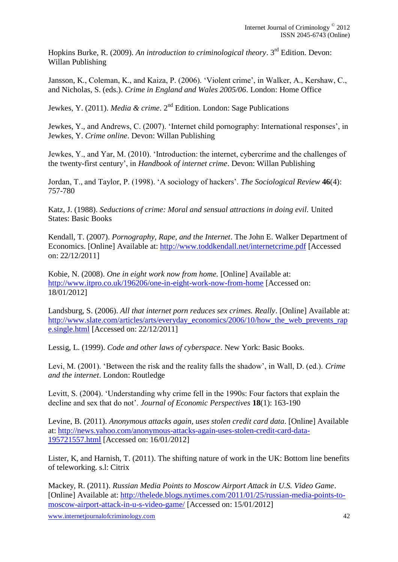Hopkins Burke, R. (2009). *An introduction to criminological theory*. 3rd Edition. Devon: Willan Publishing

Jansson, K., Coleman, K., and Kaiza, P. (2006). 'Violent crime', in Walker, A., Kershaw, C., and Nicholas, S. (eds.). *Crime in England and Wales 2005/06*. London: Home Office

Jewkes, Y. (2011). *Media & crime*. 2nd Edition. London: Sage Publications

Jewkes, Y., and Andrews, C. (2007). 'Internet child pornography: International responses', in Jewkes, Y. *Crime online*. Devon: Willan Publishing

Jewkes, Y., and Yar, M. (2010). 'Introduction: the internet, cybercrime and the challenges of the twenty-first century', in *Handbook of internet crime*. Devon: Willan Publishing

Jordan, T., and Taylor, P. (1998). 'A sociology of hackers'. *The Sociological Review* **46**(4): 757-780

Katz, J. (1988). *Seductions of crime: Moral and sensual attractions in doing evil.* United States: Basic Books

Kendall, T. (2007). *Pornography, Rape, and the Internet*. The John E. Walker Department of Economics. [Online] Available at:<http://www.toddkendall.net/internetcrime.pdf> [Accessed on: 22/12/2011]

Kobie, N. (2008). *One in eight work now from home.* [Online] Available at: <http://www.itpro.co.uk/196206/one-in-eight-work-now-from-home> [Accessed on: 18/01/2012]

Landsburg, S. (2006). *All that internet porn reduces sex crimes. Really*. [Online] Available at: [http://www.slate.com/articles/arts/everyday\\_economics/2006/10/how\\_the\\_web\\_prevents\\_rap](http://www.slate.com/articles/arts/everyday_economics/2006/10/how_the_web_prevents_rape.single.html) [e.single.html](http://www.slate.com/articles/arts/everyday_economics/2006/10/how_the_web_prevents_rape.single.html) [Accessed on: 22/12/2011]

Lessig, L. (1999). *Code and other laws of cyberspace*. New York: Basic Books.

Levi, M. (2001). 'Between the risk and the reality falls the shadow', in Wall, D. (ed.). *Crime and the internet*. London: Routledge

Levitt, S. (2004). 'Understanding why crime fell in the 1990s: Four factors that explain the decline and sex that do not'. *Journal of Economic Perspectives* **18**(1): 163-190

Levine, B. (2011). *Anonymous attacks again, uses stolen credit card data*. [Online] Available at: [http://news.yahoo.com/anonymous-attacks-again-uses-stolen-credit-card-data-](http://news.yahoo.com/anonymous-attacks-again-uses-stolen-credit-card-data-195721557.html)[195721557.html](http://news.yahoo.com/anonymous-attacks-again-uses-stolen-credit-card-data-195721557.html) [Accessed on: 16/01/2012]

Lister, K, and Harnish, T. (2011). The shifting nature of work in the UK: Bottom line benefits of teleworking. s.l: Citrix

Mackey, R. (2011). *Russian Media Points to Moscow Airport Attack in U.S. Video Game*. [Online] Available at: [http://thelede.blogs.nytimes.com/2011/01/25/russian-media-points-to](http://thelede.blogs.nytimes.com/2011/01/25/russian-media-points-to-moscow-airport-attack-in-u-s-video-game/)[moscow-airport-attack-in-u-s-video-game/](http://thelede.blogs.nytimes.com/2011/01/25/russian-media-points-to-moscow-airport-attack-in-u-s-video-game/) [Accessed on: 15/01/2012]

www.internetjournalofcriminology.com 42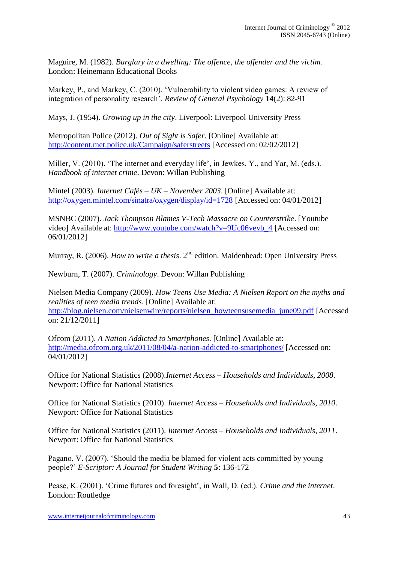Maguire, M. (1982). *Burglary in a dwelling: The offence, the offender and the victim.* London: Heinemann Educational Books

Markey, P., and Markey, C. (2010). 'Vulnerability to violent video games: A review of integration of personality research'. *Review of General Psychology* **14**(2): 82-91

Mays, J. (1954). *Growing up in the city*. Liverpool: Liverpool University Press

Metropolitan Police (2012). *Out of Sight is Safer*. [Online] Available at: <http://content.met.police.uk/Campaign/saferstreets> [Accessed on: 02/02/2012]

Miller, V. (2010). 'The internet and everyday life', in Jewkes, Y., and Yar, M. (eds.). *Handbook of internet crime*. Devon: Willan Publishing

Mintel (2003). *Internet Cafés – UK – November 2003*. [Online] Available at: <http://oxygen.mintel.com/sinatra/oxygen/display/id=1728> [Accessed on: 04/01/2012]

MSNBC (2007). *Jack Thompson Blames V-Tech Massacre on Counterstrike*. [Youtube video] Available at: [http://www.youtube.com/watch?v=9Uc06vevb\\_4](http://www.youtube.com/watch?v=9Uc06vevb_4) [Accessed on: 06/01/2012]

Murray, R. (2006). *How to write a thesis*. 2<sup>nd</sup> edition. Maidenhead: Open University Press

Newburn, T. (2007). *Criminology*. Devon: Willan Publishing

Nielsen Media Company (2009). *How Teens Use Media: A Nielsen Report on the myths and realities of teen media trends*. [Online] Available at: [http://blog.nielsen.com/nielsenwire/reports/nielsen\\_howteensusemedia\\_june09.pdf](http://blog.nielsen.com/nielsenwire/reports/nielsen_howteensusemedia_june09.pdf) [Accessed on: 21/12/2011]

Ofcom (2011). *A Nation Addicted to Smartphones*. [Online] Available at: <http://media.ofcom.org.uk/2011/08/04/a-nation-addicted-to-smartphones/> [Accessed on: 04/01/2012]

Office for National Statistics (2008).*Internet Access – Households and Individuals, 2008*. Newport: Office for National Statistics

Office for National Statistics (2010). *Internet Access – Households and Individuals, 2010*. Newport: Office for National Statistics

Office for National Statistics (2011). *Internet Access – Households and Individuals, 2011*. Newport: Office for National Statistics

Pagano, V. (2007). 'Should the media be blamed for violent acts committed by young people?' *E-Scriptor: A Journal for Student Writing* **5**: 136-172

Pease, K. (2001). 'Crime futures and foresight', in Wall, D. (ed.). *Crime and the internet*. London: Routledge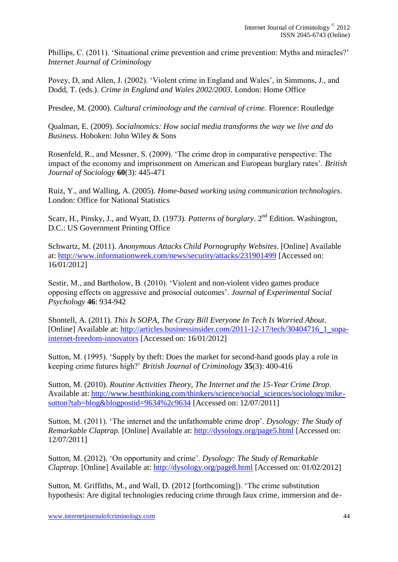Phillips, C. (2011). 'Situational crime prevention and crime prevention: Myths and miracles?' *Internet Journal of Criminology*

Povey, D, and Allen, J. (2002). 'Violent crime in England and Wales', in Simmons, J., and Dodd, T. (eds.). *Crime in England and Wales 2002/2003*. London: Home Office

Presdee, M. (2000). *Cultural criminology and the carnival of crime.* Florence: Routledge

Qualman, E. (2009). *Socialnomics: How social media transforms the way we live and do Business.* Hoboken: John Wiley & Sons

Rosenfeld, R., and Messner, S. (2009). 'The crime drop in comparative perspective: The impact of the economy and imprisonment on American and European burglary rates'. *British Journal of Sociology* **60**(3): 445-471

Ruiz, Y., and Walling, A. (2005). *Home-based working using communication technologies*. London: Office for National Statistics

Scarr, H., Pinsky, J., and Wyatt, D. (1973). *Patterns of burglary*. 2<sup>nd</sup> Edition. Washington. D.C.: US Government Printing Office

Schwartz, M. (2011). *Anonymous Attacks Child Pornography Websites*. [Online] Available at:<http://www.informationweek.com/news/security/attacks/231901499> [Accessed on: 16/01/2012]

Sestir, M., and Bartholow, B. (2010). 'Violent and non-violent video games produce opposing effects on aggressive and prosocial outcomes'. *Journal of Experimental Social Psychology* **46**: 934-942

Shontell, A. (2011). *This Is SOPA, The Crazy Bill Everyone In Tech Is Worried About*. [Online] Available at: [http://articles.businessinsider.com/2011-12-17/tech/30404716\\_1\\_sopa](http://articles.businessinsider.com/2011-12-17/tech/30404716_1_sopa-internet-freedom-innovators)[internet-freedom-innovators](http://articles.businessinsider.com/2011-12-17/tech/30404716_1_sopa-internet-freedom-innovators) [Accessed on: 16/01/2012]

Sutton, M. (1995). 'Supply by theft: Does the market for second-hand goods play a role in keeping crime futures high?' *British Journal of Criminology* **35**(3): 400-416

Sutton, M. (2010). *Routine Activities Theory, The Internet and the 15-Year Crime Drop*. Available at: [http://www.bestthinking.com/thinkers/science/social\\_sciences/sociology/mike](http://www.bestthinking.com/thinkers/science/social_sciences/sociology/mike-sutton?tab=blog&blogpostid=9634%2c9634)[sutton?tab=blog&blogpostid=9634%2c9634](http://www.bestthinking.com/thinkers/science/social_sciences/sociology/mike-sutton?tab=blog&blogpostid=9634%2c9634) [Accessed on: 12/07/2011]

Sutton, M. (2011). 'The internet and the unfathomable crime drop'. *Dysology: The Study of Remarkable Claptrap.* [Online] Available at:<http://dysology.org/page5.html> [Accessed on: 12/07/2011]

Sutton, M. (2012). 'On opportunity and crime'. *Dysology: The Study of Remarkable Claptrap*. [Online] Available at:<http://dysology.org/page8.html> [Accessed on: 01/02/2012]

Sutton, M. Griffiths, M., and Wall, D. (2012 [forthcoming]). 'The crime substitution hypothesis: Are digital technologies reducing crime through faux crime, immersion and de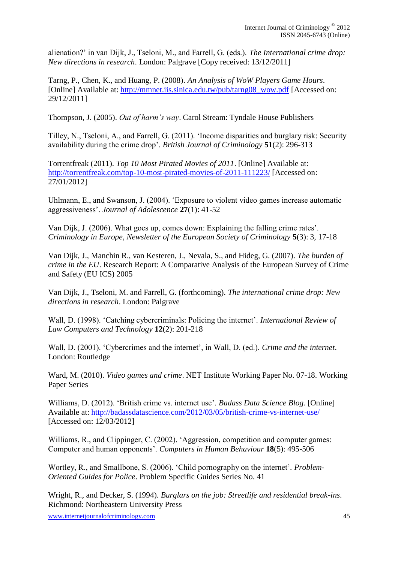alienation?' in van Dijk, J., Tseloni, M., and Farrell, G. (eds.). *The International crime drop: New directions in research*. London: Palgrave [Copy received: 13/12/2011]

Tarng, P., Chen, K., and Huang, P. (2008). *An Analysis of WoW Players Game Hours*. [Online] Available at: [http://mmnet.iis.sinica.edu.tw/pub/tarng08\\_wow.pdf](http://mmnet.iis.sinica.edu.tw/pub/tarng08_wow.pdf) [Accessed on: 29/12/2011]

Thompson, J. (2005). *Out of harm's way*. Carol Stream: Tyndale House Publishers

Tilley, N., Tseloni, A., and Farrell, G. (2011). 'Income disparities and burglary risk: Security availability during the crime drop'. *British Journal of Criminology* **51**(2): 296-313

Torrentfreak (2011). *Top 10 Most Pirated Movies of 2011*. [Online] Available at: <http://torrentfreak.com/top-10-most-pirated-movies-of-2011-111223/> [Accessed on: 27/01/2012]

Uhlmann, E., and Swanson, J. (2004). 'Exposure to violent video games increase automatic aggressiveness'. *Journal of Adolescence* **27**(1): 41-52

Van Dijk, J. (2006). What goes up, comes down: Explaining the falling crime rates'. *Criminology in Europe, Newsletter of the European Society of Criminology* **5**(3): 3, 17-18

Van Dijk, J., Manchin R., van Kesteren, J., Nevala, S., and Hideg, G. (2007). *The burden of crime in the EU*. Research Report: A Comparative Analysis of the European Survey of Crime and Safety (EU ICS) 2005

Van Dijk, J., Tseloni, M. and Farrell, G. (forthcoming). *The international crime drop: New directions in research*. London: Palgrave

Wall, D. (1998). 'Catching cybercriminals: Policing the internet'. *International Review of Law Computers and Technology* **12**(2): 201-218

Wall, D. (2001). 'Cybercrimes and the internet', in Wall, D. (ed.). *Crime and the internet*. London: Routledge

Ward, M. (2010). *Video games and crime*. NET Institute Working Paper No. 07-18. Working Paper Series

Williams, D. (2012). 'British crime vs. internet use'. *Badass Data Science Blog*. [Online] Available at:<http://badassdatascience.com/2012/03/05/british-crime-vs-internet-use/> [Accessed on: 12/03/2012]

Williams, R., and Clippinger, C. (2002). 'Aggression, competition and computer games: Computer and human opponents'. *Computers in Human Behaviour* **18**(5): 495-506

Wortley, R., and Smallbone, S. (2006). 'Child pornography on the internet'*. Problem-Oriented Guides for Police*. Problem Specific Guides Series No. 41

Wright, R., and Decker, S. (1994). *Burglars on the job: Streetlife and residential break-ins*. Richmond: Northeastern University Press

www.internetjournalofcriminology.com 45